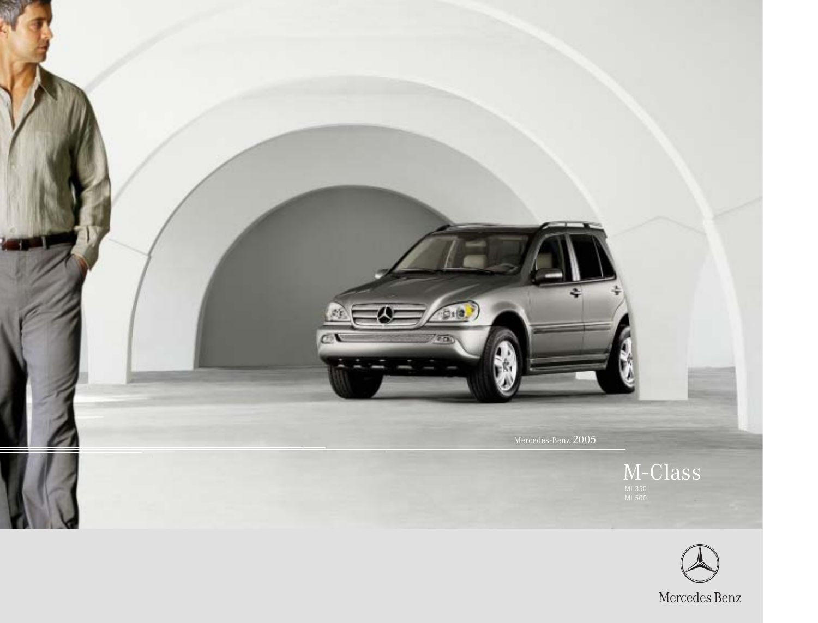

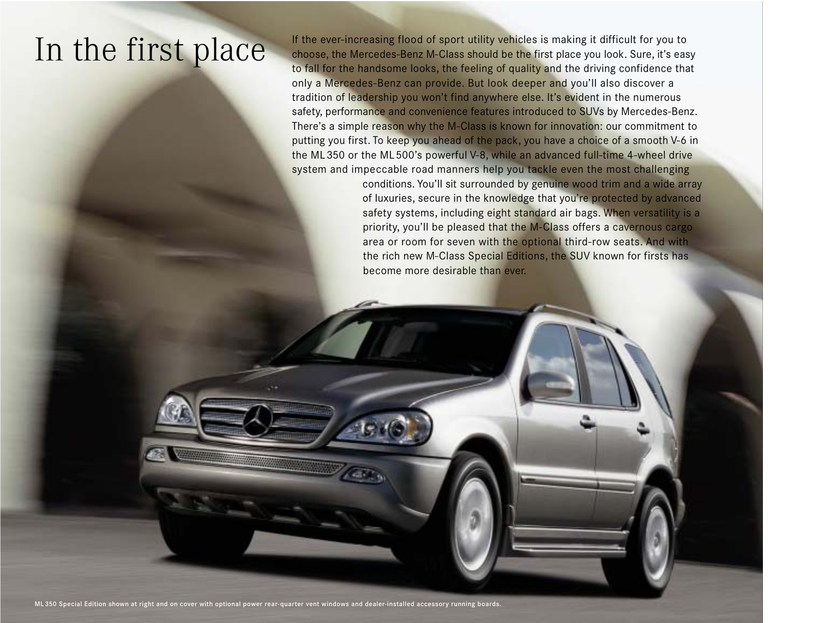In the ever-increasing flood of sport utility vehicles is making it difficult for you to<br>In the first place you look. Sure, it's eas choose, the Mercedes-Benz M-Class should be the first place you look. Sure, it's easy to fall for the handsome looks, the feeling of quality and the driving confidence that only a Mercedes-Benz can provide. But look deeper and you'll also discover a tradition of leadership you won't find anywhere else. It's evident in the numerous safety, performance and convenience features introduced to SUVs by Mercedes-Benz. There's a simple reason why the M-Class is known for innovation: our commitment to putting you first. To keep you ahead of the pack, you have a choice of a smooth V-6 in the ML350 or the ML500's powerful V-8, while an advanced full-time 4-wheel drive system and impeccable road manners help you tackle even the most challenging

> conditions. You'll sit surrounded by genuine wood trim and a wide array of luxuries, secure in the knowledge that you're protected by advanced safety systems, including eight standard air bags. When versatility is a priority, you'll be pleased that the M-Class offers a cavernous cargo area or room for seven with the optional third-row seats. And with the rich new M-Class Special Editions, the SUV known for firsts has become more desirable than ever.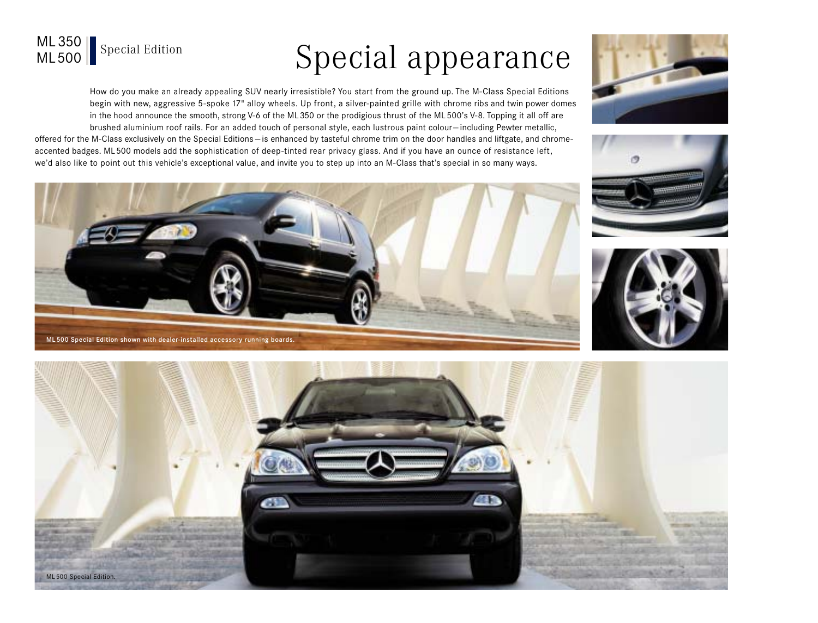# Special appearance

How do you make an already appealing SUV nearly irresistible? You start from the ground up. The M-Class Special Editions begin with new, aggressive 5-spoke 17" alloy wheels. Up front, a silver-painted grille with chrome ribs and twin power domes in the hood announce the smooth, strong V-6 of the ML350 or the prodigious thrust of the ML 500's V-8. Topping it all off are brushed aluminium roof rails. For an added touch of personal style, each lustrous paint colour— including Pewter metallic,

offered for the M-Class exclusively on the Special Editions — is enhanced by tasteful chrome trim on the door handles and liftgate, and chromeaccented badges. ML500 models add the sophistication of deep-tinted rear privacy glass. And if you have an ounce of resistance left, we'd also like to point out this vehicle's exceptional value, and invite you to step up into an M-Class that's special in so many ways.











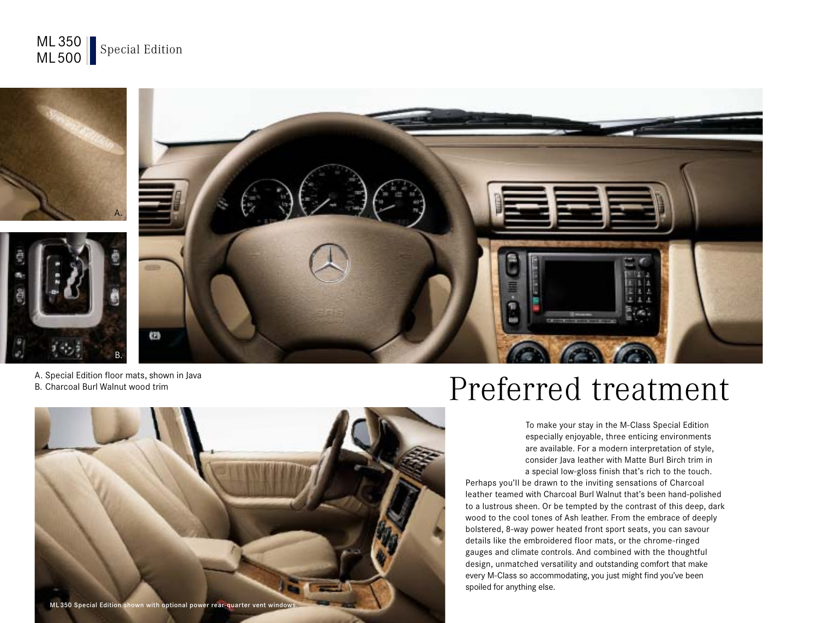



A. Special Edition floor mats, shown in Java B. Charcoal Burl Walnut wood trim



## Preferred treatment

To make your stay in the M-Class Special Edition especially enjoyable, three enticing environments are available. For a modern interpretation of style, consider Java leather with Matte Burl Birch trim in a special low-gloss finish that's rich to the touch.

Perhaps you'll be drawn to the inviting sensations of Charcoal leather teamed with Charcoal Burl Walnut that's been hand-polished to a lustrous sheen. Or be tempted by the contrast of this deep, dark wood to the cool tones of Ash leather. From the embrace of deeply bolstered, 8-way power heated front sport seats, you can savour details like the embroidered floor mats, or the chrome-ringed gauges and climate controls. And combined with the thoughtful design, unmatched versatility and outstanding comfort that make every M-Class so accommodating, you just might find you've been spoiled for anything else.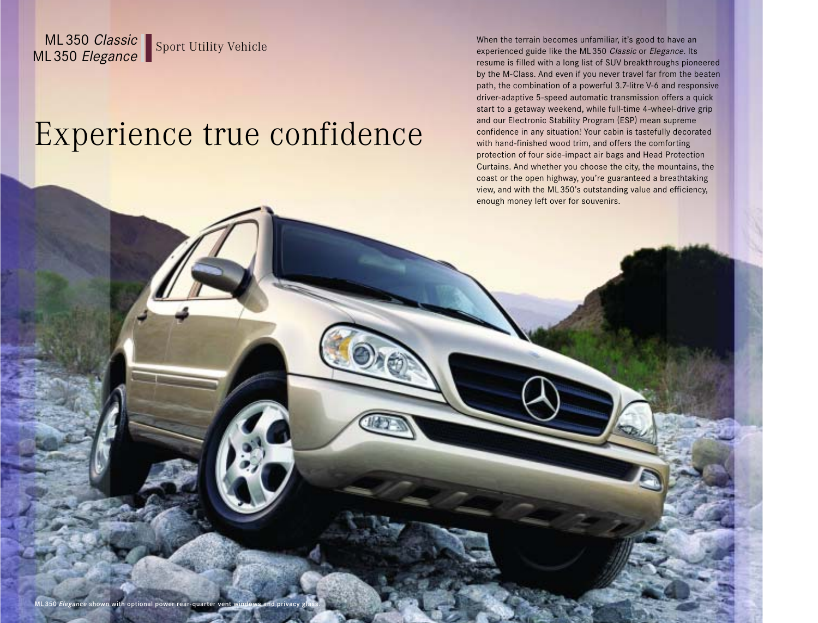ML350 Classic<br>ML350 Elegance Sport Utility Vehicle When the terrain becomes unfamiliar, it's good to have an<br>resume is filled with a long list of SUV breakthroughs pior experienced guide like the ML350 Classic or Elegance. Its resume is filled with a long list of SUV breakthroughs pioneered by the M-Class. And even if you never travel far from the beaten path, the combination of a powerful 3.7-litre V-6 and responsive driver-adaptive 5-speed automatic transmission offers a quick start to a getaway weekend, while full-time 4-wheel-drive grip and our Electronic Stability Program (ESP) mean supreme confidence in any situation! Your cabin is tastefully decorated with hand-finished wood trim, and offers the comforting protection of four side-impact air bags and Head Protection Curtains. And whether you choose the city, the mountains, the coast or the open highway, you're guaranteed a breathtaking view, and with the ML350's outstanding value and efficiency, enough money left over for souvenirs.

# Experience true confidence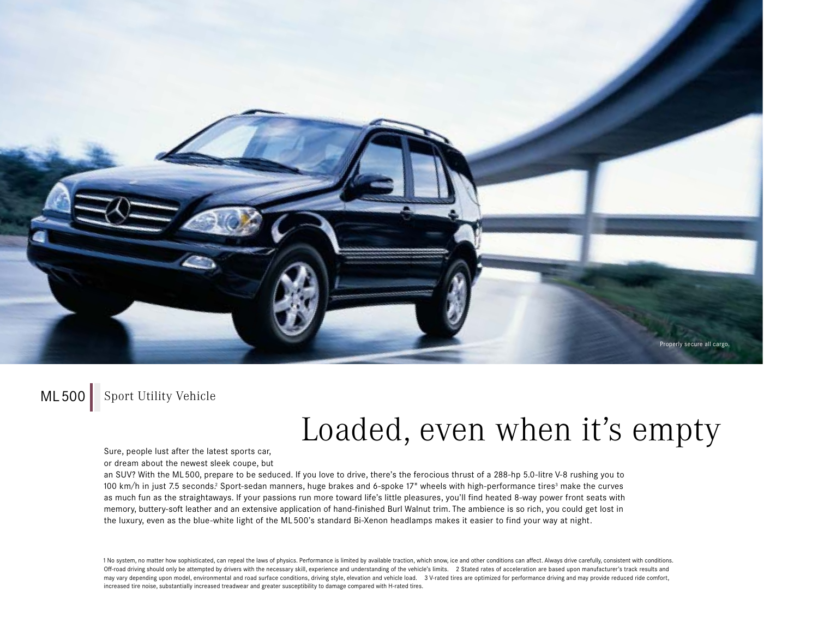

### ML500 Sport Utility Vehicle

### Loaded, even when it's empty

Sure, people lust after the latest sports car,

or dream about the newest sleek coupe, but

an SUV? With the ML500, prepare to be seduced. If you love to drive, there's the ferocious thrust of a 288-hp 5.0-litre V-8 rushing you to 100 km/h in just 7.5 seconds.<sup>2</sup> Sport-sedan manners, huge brakes and 6-spoke 17" wheels with high-performance tires<sup>3</sup> make the curves as much fun as the straightaways. If your passions run more toward life's little pleasures, you'll find heated 8-way power front seats with memory, buttery-soft leather and an extensive application of hand-finished Burl Walnut trim. The ambience is so rich, you could get lost in the luxury, even as the blue-white light of the ML 500's standard Bi-Xenon headlamps makes it easier to find your way at night.

1 No system, no matter how sophisticated, can repeal the laws of physics. Performance is limited by available traction, which snow, ice and other conditions can affect. Always drive carefully, consistent with conditions. Off-road driving should only be attempted by drivers with the necessary skill, experience and understanding of the vehicle's limits. 2 Stated rates of acceleration are based upon manufacturer's track results and may vary depending upon model, environmental and road surface conditions, driving style, elevation and vehicle load. 3V-rated tires are optimized for performance driving and may provide reduced ride comfort, increased tire noise, substantially increased treadwear and greater susceptibility to damage compared with H-rated tires.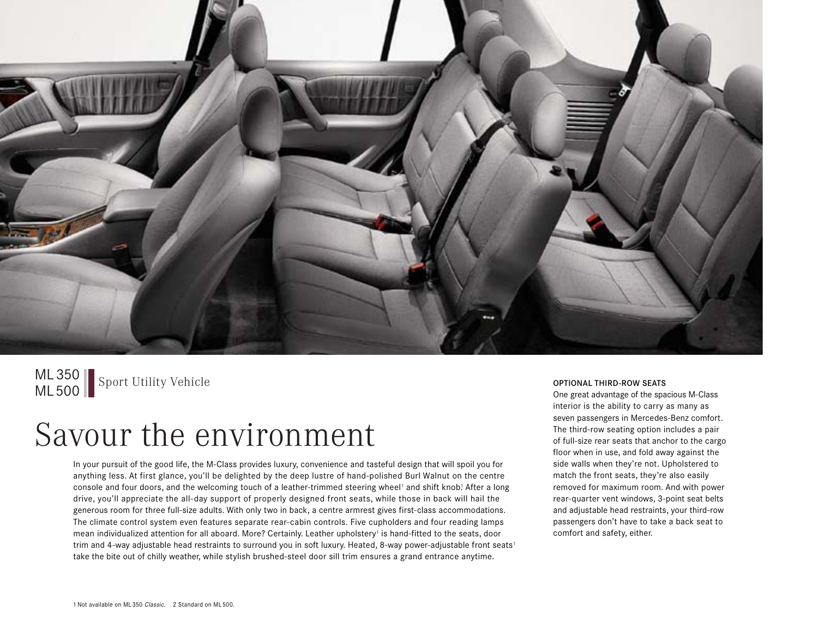

ML 350 Sport Utility Vehicle Controller Controller Controller Controller Controller Controller Controller Controller Controller Controller Controller Controller Controller Controller Controller Controller Controller Contro

### Savour the environment

In your pursuit of the good life, the M-Class provides luxury, convenience and tasteful design that will spoil you for anything less. At first glance, you'll be delighted by the deep lustre of hand-polished Burl Walnut on the centre console and four doors, and the welcoming touch of a leather-trimmed steering wheel<sup>1</sup> and shift knob! After a long drive, you'll appreciate the all-day support of properly designed front seats, while those in back will hail the generous room for three full-size adults. With only two in back, a centre armrest gives first-class accommodations. The climate control system even features separate rear-cabin controls. Five cupholders and four reading lamps mean individualized attention for all aboard. More? Certainly. Leather upholstery<sup>1</sup> is hand-fitted to the seats, door trim and 4-way adjustable head restraints to surround you in soft luxury. Heated, 8-way power-adjustable front seats<sup>1</sup> take the bite out of chilly weather, while stylish brushed-steel door sill trim ensures a grand entrance anytime.

One great advantage of the spacious M-Class interior is the ability to carry as many as seven passengers in Mercedes-Benz comfort. The third-row seating option includes a pair of full-size rear seats that anchor to the cargo floor when in use, and fold away against the side walls when they're not. Upholstered to match the front seats, they're also easily removed for maximum room. And with power rear-quarter vent windows, 3-point seat belts and adjustable head restraints, your third-row passengers don't have to take a back seat to comfort and safety, either.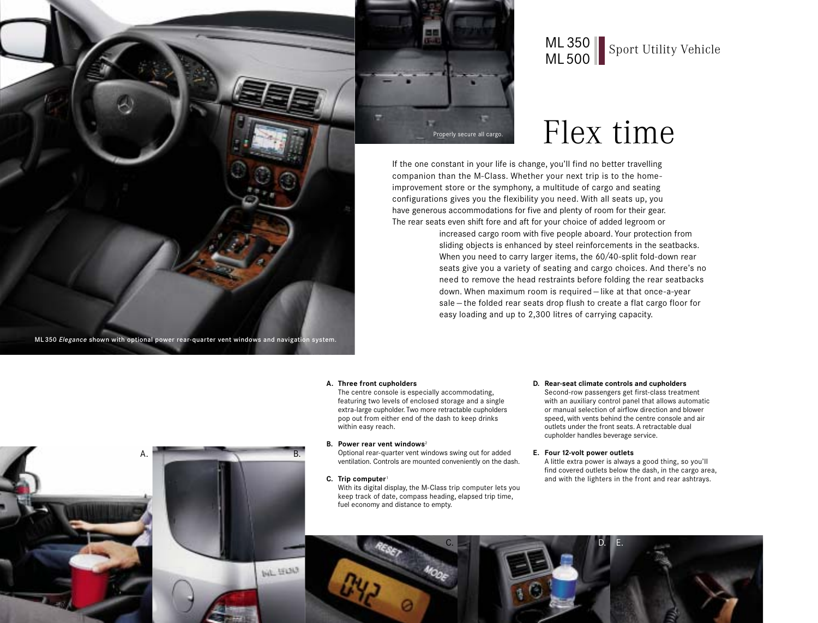

## ML 350 Sport Utility Vehicle

### Properly secure all cargo.  $Flex time$

If the one constant in your life is change, you'll find no better travelling companion than the M-Class. Whether your next trip is to the homeimprovement store or the symphony, a multitude of cargo and seating configurations gives you the flexibility you need. With all seats up, you have generous accommodations for five and plenty of room for their gear. The rear seats even shift fore and aft for your choice of added legroom or

> increased cargo room with five people aboard. Your protection from sliding objects is enhanced by steel reinforcements in the seatbacks. When you need to carry larger items, the 60/40-split fold-down rear seats give you a variety of seating and cargo choices. And there's no need to remove the head restraints before folding the rear seatbacks down. When maximum room is required — like at that once-a-year sale — the folded rear seats drop flush to create a flat cargo floor for easy loading and up to 2,300 litres of carrying capacity.

#### **A. Three front cupholders**

The centre console is especially accommodating, featuring two levels of enclosed storage and a single extra-large cupholder. Two more retractable cupholders pop out from either end of the dash to keep drinks within easy reach.

#### **B. Power rear vent windows**<sup>2</sup>

Optional rear-quarter vent windows swing out for added ventilation. Controls are mounted conveniently on the dash.

**C. Trip computer**<sup>1</sup>

With its digital display, the M-Class trip computer lets you keep track of date, compass heading, elapsed trip time, fuel economy and distance to empty.

**D. Rear-seat climate controls and cupholders** Second-row passengers get first-class treatment with an auxiliary control panel that allows automatic or manual selection of airflow direction and blower speed, with vents behind the centre console and air outlets under the front seats. A retractable dual cupholder handles beverage service.

**E. Four 12-volt power outlets** A little extra power is always a good thing, so you'll find covered outlets below the dash, in the cargo area, and with the lighters in the front and rear ashtrays.





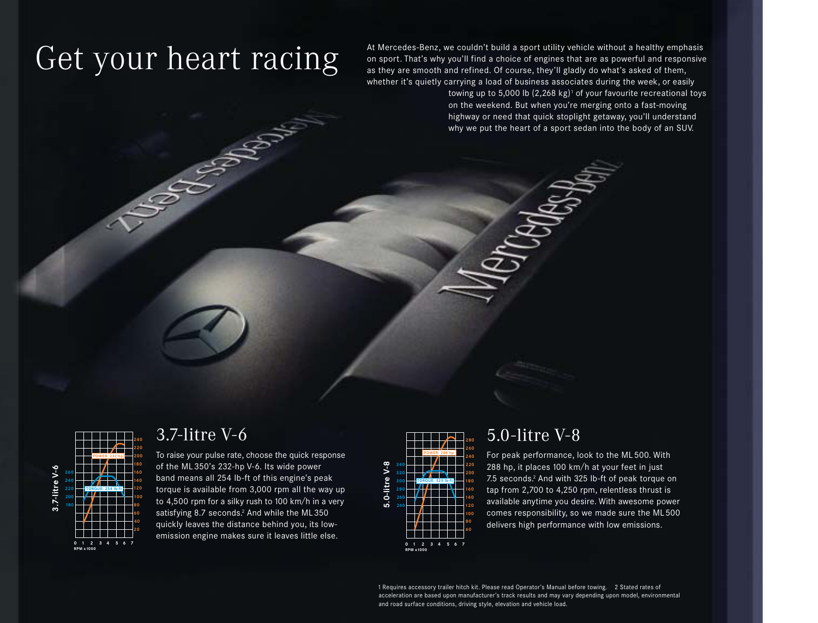**SECTION** 

 $Get$  your healthy emphasis<br>Get without a healthy emphasis<br>as they are smooth and refined. Of course, they'll gladly do what's asked of them. on sport. That's why you'll find a choice of engines that are as powerful and responsive as they are smooth and refined. Of course, they'll gladly do what's asked of them, whether it's quietly carrying a load of business associates during the week, or easily

> towing up to 5,000 lb  $(2,268 \text{ kg})$ <sup>1</sup> of your favourite recreational toys on the weekend. But when you're merging onto a fast-moving highway or need that quick stoplight getaway, you'll understand why we put the heart of a sport sedan into the body of an SUV.



### 3.7-litre V-6

To raise your pulse rate, choose the quick response of the ML 350's 232-hp V-6. Its wide power band means all 254 lb-ft of this engine's peak torque is available from 3,000 rpm all the way up to 4,500 rpm for a silky rush to 100 km/h in a very satisfying 8.7 seconds.<sup>2</sup> And while the ML350 quickly leaves the distance behind you, its lowemission engine makes sure it leaves little else.



### 5.0-litre V-8

For peak performance, look to the ML 500. With 288 hp, it places 100 km/h at your feet in just 7.5 seconds.2 And with 325 lb-ft of peak torque on tap from 2,700 to 4,250 rpm, relentless thrust is available anytime you desire. With awesome power comes responsibility, so we made sure the ML500 delivers high performance with low emissions.

1 Requires accessory trailer hitch kit. Please read Operator's Manual before towing. 2 Stated rates of acceleration are based upon manufacturer's track results and may vary depending upon model, environmental and road surface conditions, driving style, elevation and vehicle load.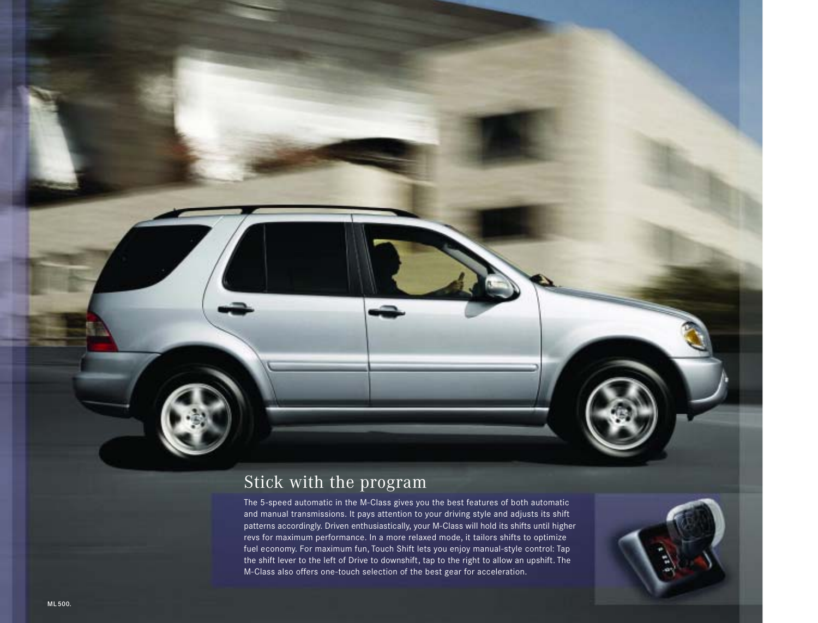### Stick with the program

The 5-speed automatic in the M-Class gives you the best features of both automatic and manual transmissions. It pays attention to your driving style and adjusts its shift patterns accordingly. Driven enthusiastically, your M-Class will hold its shifts until higher revs for maximum performance. In a more relaxed mode, it tailors shifts to optimize fuel economy. For maximum fun, Touch Shift lets you enjoy manual-style control: Tap the shift lever to the left of Drive to downshift, tap to the right to allow an upshift. The M-Class also offers one-touch selection of the best gear for acceleration.

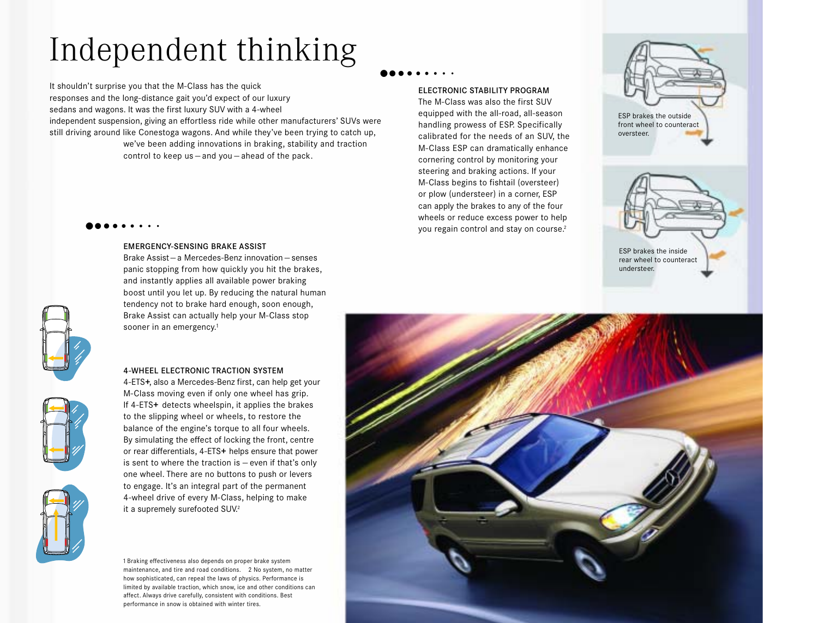# Independent thinking

It shouldn't surprise you that the M-Class has the quick responses and the long-distance gait you'd expect of our luxury sedans and wagons. It was the first luxury SUV with a 4-wheel independent suspension, giving an effortless ride while other manufacturers' SUVs were still driving around like Conestoga wagons. And while they've been trying to catch up, we've been adding innovations in braking, stability and traction control to keep us — and you — ahead of the pack.

 $\bullet\bullet\bullet\bullet\bullet\bullet\bullet\bullet\bullet\bullet$ 

#### EMERGENCY-SENSING BRAKE ASSIST

Brake Assist — a Mercedes-Benz innovation — senses panic stopping from how quickly you hit the brakes, and instantly applies all available power braking boost until you let up. By reducing the natural human tendency not to brake hard enough, soon enough, Brake Assist can actually help your M-Class stop sooner in an emergency.<sup>1</sup>

#### 4-WHEEL ELECTRONIC TRACTION SYSTEM

4-ETS**+**, also a Mercedes-Benz first, can help get your M-Class moving even if only one wheel has grip. If 4-ETS**+** detects wheelspin, it applies the brakes to the slipping wheel or wheels, to restore the balance of the engine's torque to all four wheels. By simulating the effect of locking the front, centre or rear differentials, 4-ETS**+** helps ensure that power is sent to where the traction is — even if that's only one wheel. There are no buttons to push or levers to engage. It's an integral part of the permanent 4-wheel drive of every M-Class, helping to make it a supremely surefooted SUV.<sup>2</sup>

1 Braking effectiveness also depends on proper brake system maintenance, and tire and road conditions. 2 No system, no matter how sophisticated, can repeal the laws of physics. Performance is limited by available traction, which snow, ice and other conditions can affect. Always drive carefully, consistent with conditions. Best performance in snow is obtained with winter tires.

### $\bullet\bullet\bullet\bullet\bullet\bullet\bullet\bullet\bullet\bullet$

#### ELECTRONIC STABILITY PROGRAM

The M-Class was also the first SUV equipped with the all-road, all-season handling prowess of ESP. Specifically calibrated for the needs of an SUV, the M-Class ESP can dramatically enhance cornering control by monitoring your steering and braking actions. If your M-Class begins to fishtail (oversteer) or plow (understeer) in a corner, ESP can apply the brakes to any of the four wheels or reduce excess power to help you regain control and stay on course.2

ESP brakes the outside front wheel to counteract oversteer.









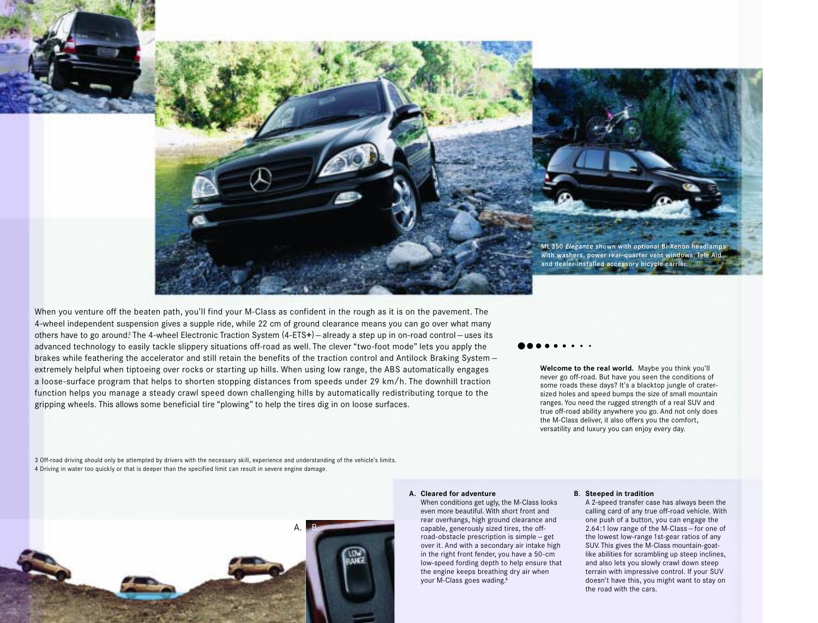

a loose-surface program that helps to shorten stopping distances from speeds under 29 km /h. The downhill traction When you venture off the beaten path, you'll find your M-Class as confident in the rough as it is on the pavement. The 4- wheel independent suspension gives a supple ride, while 22 cm of ground clearance means you can go over what many others have to go around? The 4-wheel Electronic Traction System (4-ETS**+**) — already a step up in on-road control — uses its ad va nc ed technology to easily tackle slippery situations off-road as well. The clever "two-foot mode" lets you apply the brakes while feathering the accelerator and still retain the benefits of the traction control and Antilock Braking System– ex tr em e ly helpful when tiptoeing over rocks or starting up hills. When using low range, the ABS automatically engages function helps you manage a steady crawl speed down challenging hills by automatically redistributing torque to the gripping wheels. This allows some beneficial tire "plowing" to help the tires dig in on loose surfaces.

### $\bullet\bullet\bullet\bullet\bullet\bullet\bullet\bullet\bullet$

**Welcome to the real world.** Maybe you think you'll never go off-road. But have you seen the conditions of some roads these days? It's a blacktop jungle of cratersized holes and speed bumps the size of small mountain ranges. You need the rugged strength of a real SUV and true off-road ability anywhere you go. And not only does the M-Class deliver, it also offers you the comfort, versatility and luxury you can enjoy every day.

3 Off-road driving should only be attempted by drivers with the necessary skill, experience and understanding of the vehicle's limits. 4 Driving in water too quickly or that is deeper than the specified limit can result in severe engine damage.



#### **A. Cleared for adventure**

When conditions get ugly, the M-Class looks even more beautiful. With short front and rear overhangs, high ground clearance and capable, generously sized tires, the offroad-obstacle prescription is simple — get over it. And with a secondary air intake high in the right front fender, you have a 50-cm low-speed fording depth to help ensure that the engine keeps breathing dry air when your M-Class goes wading.4

#### **B**. **Steeped in tradition**

A 2-speed transfer case has always been the calling card of any true off-road vehicle. With one push of a button, you can engage the 2.64:1 low range of the M-Class — for one of the lowest low-range 1st-gear ratios of any SUV. This gives the M-Class mountain-goatlike abilities for scrambling up steep inclines, and also lets you slowly crawl down steep terrain with impressive control. If your SUV doesn't have this, you might want to stay on the road with the cars.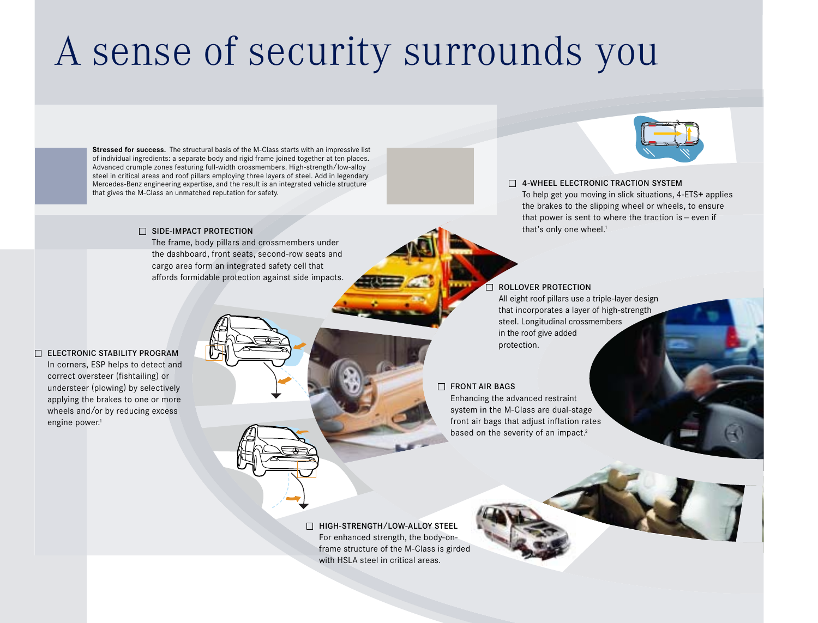# A sense of security surrounds you

**Stressed for success.** The structural basis of the M-Class starts with an impressive list of individual ingredients: a separate body and rigid frame joined together at ten places. Advanced crumple zones featuring full-width crossmembers. High-strength/low-alloy steel in critical areas and roof pillars employing three layers of steel. Add in legendary Mercedes-Benz engineering expertise, and the result is an integrated vehicle structure that gives the M-Class an unmatched reputation for safety.

#### SIDE-IMPACT PROTECTION

The frame, body pillars and crossmembers under the dashboard, front seats, second-row seats and cargo area form an integrated safety cell that affords formidable protection against side impacts.



### **THE 4-WHEEL ELECTRONIC TRACTION SYSTEM** To help get you moving in slick situations, 4-ETS**+** applies the brakes to the slipping wheel or wheels, to ensure that power is sent to where the traction is — even if that's only one wheel.<sup>1</sup>

### ROLLOVER PROTECTION

All eight roof pillars use a triple-layer design that incorporates a layer of high-strength steel. Longitudinal crossmembers in the roof give added protection.

#### $\Box$  FRONT AIR BAGS.

Enhancing the advanced restraint system in the M-Class are dual-stage front air bags that adjust inflation rates based on the severity of an impact.<sup>2</sup>

□ HIGH-STRENGTH/LOW-ALLOY STEEL For enhanced strength, the body-onframe structure of the M-Class is girded with HSLA steel in critical areas.



In corners, ESP helps to detect and correct oversteer (fishtailing) or understeer (plowing) by selectively applying the brakes to one or more wheels and/or by reducing excess engine power.<sup>1</sup>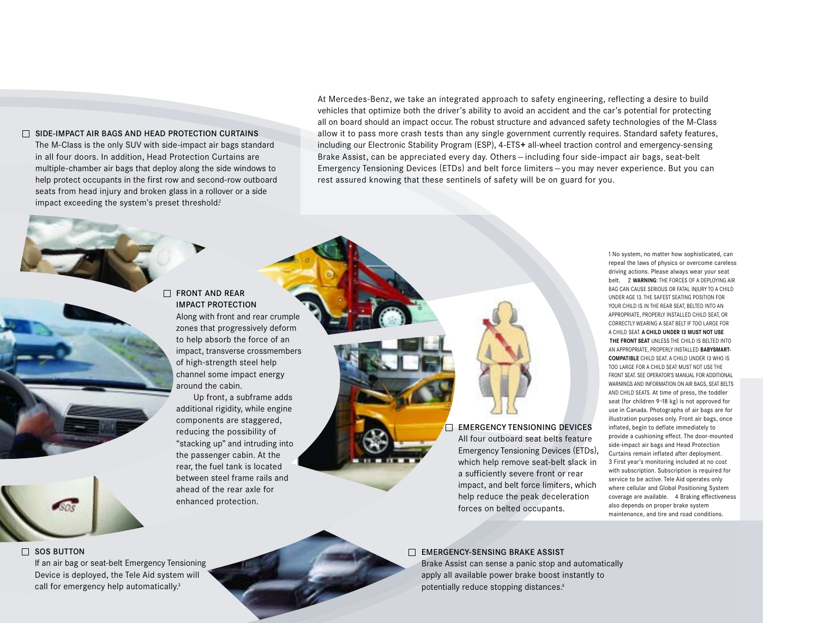#### $\Box$  SIDE-IMPACT AIR BAGS AND HEAD PROTECTION CURTAINS

The M-Class is the only SUV with side-impact air bags standard in all four doors. In addition, Head Protection Curtains are multiple-chamber air bags that deploy along the side windows to help protect occupants in the first row and second-row outboard seats from head injury and broken glass in a rollover or a side impact exceeding the system's preset threshold?

At Mercedes-Benz, we take an integrated approach to safety engineering, reflecting a desire to build vehicles that optimize both the driver's ability to avoid an accident and the car's potential for protecting all on board should an impact occur. The robust structure and advanced safety technologies of the M-Class allow it to pass more crash tests than any single government currently requires. Standard safety features, including our Electronic Stability Program (ESP), 4-ETS**+** all-wheel traction control and emergency-sensing Brake Assist, can be appreciated every day. Others — including four side-impact air bags, seat-belt Emergency Tensioning Devices (ETDs) and belt force limiters — you may never experience. But you can rest assured knowing that these sentinels of safety will be on guard for you.

 $\Box$  **FRONT AND REAR** IMPACT PROTECTION Along with front and rear crumple zones that progressively deform to help absorb the force of an impact, transverse crossmembers of high-strength steel help channel some impact energy around the cabin.

Up front, a subframe adds additional rigidity, while engine components are staggered, reducing the possibility of "stacking up" and intruding into the passenger cabin. At the rear, the fuel tank is located between steel frame rails and ahead of the rear axle for enhanced protection.

Emergency Tensioning Devices (ETDs), 1 No system, no matter how sophisticated, can repeal the laws of physics or overcome careless driving actions. Please always wear your seat belt. 2 **WARNING**: THE FORCES OF A DEPLOYING AIR BAG CAN CAUSE SERIOUS OR FATAL INJURY TO A CHILD UNDER AGE 13. THE SAFEST SEATING POSITION FOR YOUR CHILD IS IN THE REAR SEAT, BELTED INTO AN APPROPRIATE, PROPERLY INSTALLED CHILD SEAT, OR CORRECTLY WEARING A SEAT BELT IF TOO LARGE FOR A CHILD SEAT. **A CHILD UNDER 13 MUST NOT USE THE FRONT SEAT** UNLESS THE CHILD IS BELTED INTO AN APPROPRIATE, PROPERLY INSTALLED **BABYSMART-COMPATIBLE** CHILD SEAT. A CHILD UNDER 13 WHO IS TOO LARGE FOR A CHILD SEAT MUST NOT USE THE FRONT SEAT. SEE OPERATOR'S MANUAL FOR ADDITIONAL WARNINGS AND INFORMATION ON AIR BAGS, SFAT BELTS AND CHILD SEATS. At time of press, the toddler seat (for children 9–18 kg) is not approved for use in Canada. Photographs of air bags are for illustration purposes only. Front air bags, once inflated, begin to deflate immediately to provide a cushioning effect. The door-mounted side-impact air bags and Head Protection Curtains remain inflated after deployment. 3 First year's monitoring included at no cost with subscription. Subscription is required for service to be active. Tele Aid operates only where cellular and Global Positioning System coverage are available. 4 Braking effectiveness also depends on proper brake system maintenance, and tire and road conditions.

### $\Box$  EMERGENCY-SENSING BRAKE ASSIST

Brake Assist can sense a panic stop and automatically apply all available power brake boost instantly to potentially reduce stopping distances.4

EMERGENCY TENSIONING DEVICES All four outboard seat belts feature

which help remove seat-belt slack in a sufficiently severe front or rear impact, and belt force limiters, which help reduce the peak deceleration forces on belted occupants.

 $\Box$  SOS BUTTON

If an air bag or seat-belt Emergency Tensioning Device is deployed, the Tele Aid system will call for emergency help automatically.<sup>3</sup>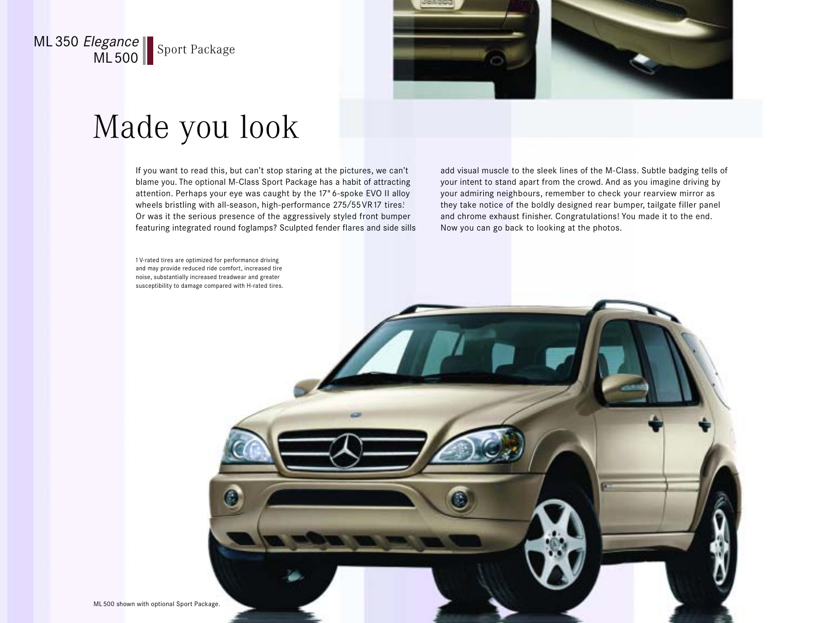### ML 350 Elegance **ML500** Sport Package



## Made you look

If you want to read this, but can't stop staring at the pictures, we can't blame you. The optional M-Class Sport Package has a habit of attracting attention. Perhaps your eye was caught by the 17" 6-spoke EVO II alloy wheels bristling with all-season, high-performance 275/55 VR17 tires! Or was it the serious presence of the aggressively styled front bumper featuring integrated round foglamps? Sculpted fender flares and side sills add visual muscle to the sleek lines of the M-Class. Subtle badging tells of your intent to stand apart from the crowd. And as you imagine driving by your admiring neighbours, remember to check your rearview mirror as they take notice of the boldly designed rear bumper, tailgate filler panel and chrome exhaust finisher. Congratulations! You made it to the end. Now you can go back to looking at the photos.

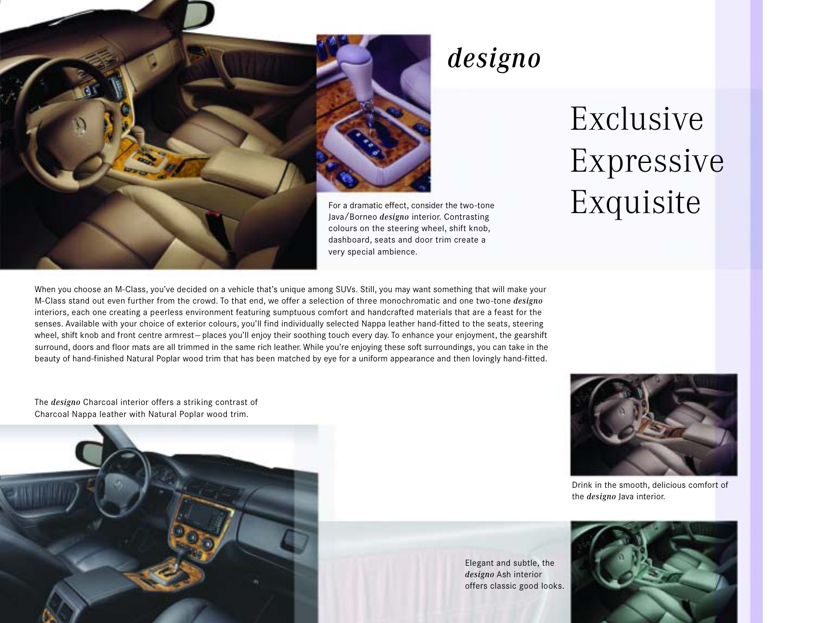

### designo

Elegant and subtle, the *designo* Ash interior

# Exclusive Expressive Exquisite

When you choose an M-Class, you've decided on a vehicle that's unique among SUVs. Still, you may want something that will make your M-Class stand out even further from the crowd. To that end, we offer a selection of three monochromatic and one two-tone *designo* interiors, each one creating a peerless environment featuring sumptuous comfort and handcrafted materials that are a feast for the senses. Available with your choice of exterior colours, you'll find individually selected Nappa leather hand-fitted to the seats, steering wheel, shift knob and front centre armrest-places you'll enjoy their soothing touch every day. To enhance your enjoyment, the gearshift surround, doors and floor mats are all trimmed in the same rich leather. While you're enjoying these soft surroundings, you can take in the beauty of hand-finished Natural Poplar wood trim that has been matched by eye for a uniform appearance and then lovingly hand-fitted.

The *designo* Charcoal interior offers a striking contrast of Charcoal Nappa leather with Natural Poplar wood trim.





Drink in the smooth, delicious comfort of the *designo* Java interior.

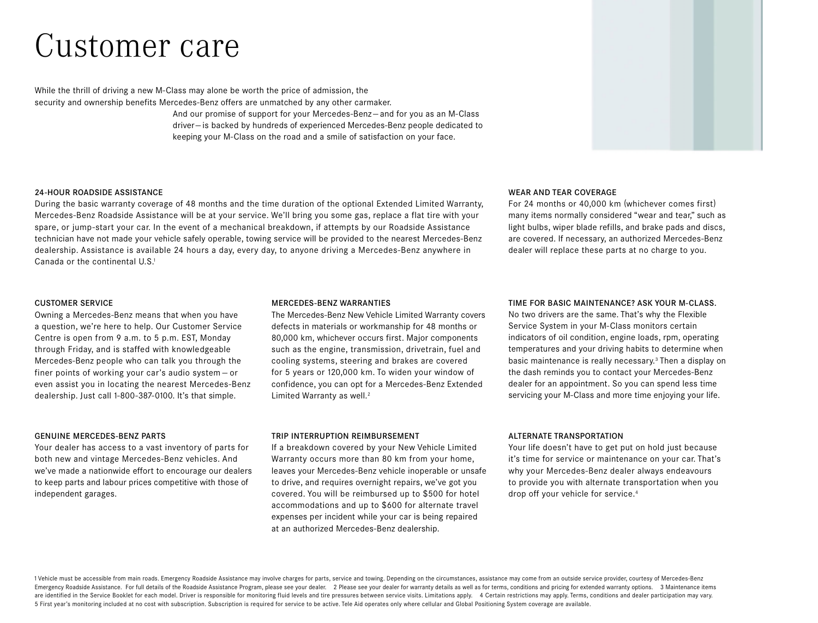## Customer care

While the thrill of driving a new M-Class may alone be worth the price of admission, the security and ownership benefits Mercedes-Benz offers are unmatched by any other carmaker.

> And our promise of support for your Mercedes-Benz-and for you as an M-Class driver— is backed by hundreds of experienced Mercedes-Benz people dedicated to keeping your M-Class on the road and a smile of satisfaction on your face.

#### 24-HOUR ROADSIDE ASSISTANCE

During the basic warranty coverage of 48 months and the time duration of the optional Extended Limited Warranty, Mercedes-Benz Roadside Assistance will be at your service. We'll bring you some gas, replace a flat tire with your spare, or jump-start your car. In the event of a mechanical breakdown, if attempts by our Roadside Assistance technician have not made your vehicle safely operable, towing service will be provided to the nearest Mercedes-Benz dealership. Assistance is available 24 hours a day, every day, to anyone driving a Mercedes-Benz anywhere in Canada or the continental U.S.<sup>1</sup>

#### WEAR AND TEAR COVERAGE

For 24 months or 40,000 km (whichever comes first) many items normally considered "wear and tear," such as light bulbs, wiper blade refills, and brake pads and discs, are covered. If necessary, an authorized Mercedes-Benz dealer will replace these parts at no charge to you.

#### CUSTOMER SERVICE

Owning a Mercedes-Benz means that when you have a question, we're here to help. Our Customer Service Centre is open from 9 a.m. to 5 p.m. EST, Monday through Friday, and is staffed with knowledgeable Mercedes-Benz people who can talk you through the finer points of working your car's audio system — or even assist you in locating the nearest Mercedes-Benz dealership. Just call 1-800-387-0100. It's that simple.

#### GENUINE MERCEDES-BENZ PARTS

Your dealer has access to a vast inventory of parts for both new and vintage Mercedes-Benz vehicles. And we've made a nationwide effort to encourage our dealers to keep parts and labour prices competitive with those of independent garages.

#### MERCEDES-BENZ WARRANTIES

The Mercedes-Benz New Vehicle Limited Warranty covers defects in materials or workmanship for 48 months or 80,000 km, whichever occurs first. Major components such as the engine, transmission, drivetrain, fuel and cooling systems, steering and brakes are covered for 5 years or 120,000 km. To widen your window of confidence, you can opt for a Mercedes-Benz Extended Limited Warranty as well.<sup>2</sup>

#### TRIP INTERRUPTION REIMBURSEMENT

If a breakdown covered by your New Vehicle Limited Warranty occurs more than 80 km from your home, leaves your Mercedes-Benz vehicle inoperable or unsafe to drive, and requires overnight repairs, we've got you covered. You will be reimbursed up to \$500 for hotel accommodations and up to \$600 for alternate travel expenses per incident while your car is being repaired at an authorized Mercedes-Benz dealership.

#### TIME FOR BASIC MAINTENANCE? ASK YOUR M-CLASS.

No two drivers are the same. That's why the Flexible Service System in your M-Class monitors certain indicators of oil condition, engine loads, rpm, operating temperatures and your driving habits to determine when basic maintenance is really necessary.3 Then a display on the dash reminds you to contact your Mercedes-Benz dealer for an appointment. So you can spend less time servicing your M-Class and more time enjoying your life.

#### ALTERNATE TRANSPORTATION

Your life doesn't have to get put on hold just because it's time for service or maintenance on your car. That's why your Mercedes-Benz dealer always endeavours to provide you with alternate transportation when you drop off your vehicle for service.4

1 Vehicle must be accessible from main roads. Emergency Roadside Assistance may involve charges for parts, service and towing. Depending on the circumstances, assistance may come from an outside service provider, courtesy Emergency Roadside Assistance. For full details of the Roadside Assistance Program, please see your dealer. 2 Please see your dealer for warranty details as well as for terms, conditions and pricing for extended warranty o are identified in the Service Booklet for each model. Driver is responsible for monitoring fluid levels and tire pressures between service visits. Limitations apply. 4 Certain restrictions may apply. Terms, conditions and 5 First year's monitoring included at no cost with subscription. Subscription is required for service to be active. Tele Aid operates only where cellular and Global Positioning System coverage are available.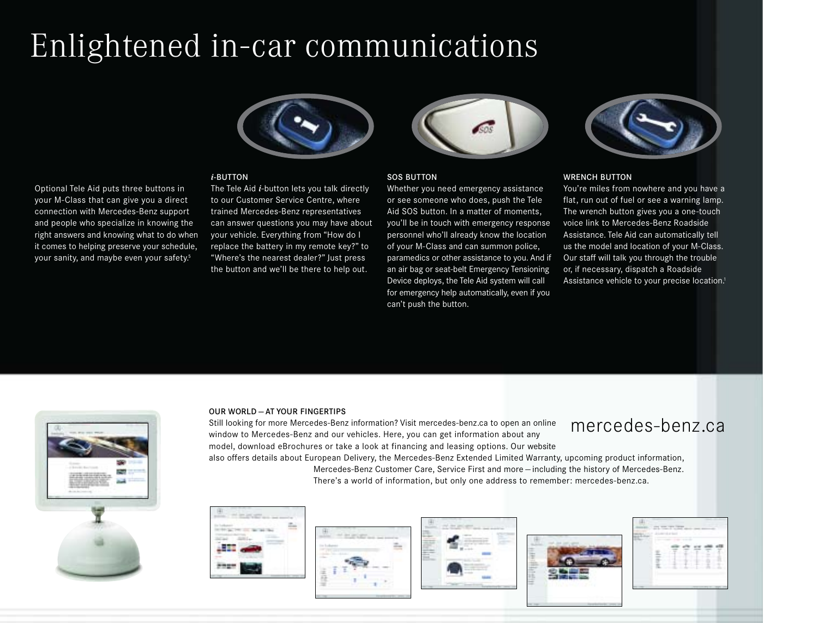## Enlightened in-car communications



#### *i*-BUTTON

Optional Tele Aid puts three buttons in your M-Class that can give you a direct connection with Mercedes-Benz support and people who specialize in knowing the right answers and knowing what to do when it comes to helping preserve your schedule, your sanity, and maybe even your safety.<sup>5</sup>

The Tele Aid *i*-button lets you talk directly to our Customer Service Centre, where trained Mercedes-Benz representatives can answer questions you may have about your vehicle. Everything from "How do I replace the battery in my remote key?" to "Where's the nearest dealer?" Just press the button and we'll be there to help out.



#### SOS BUTTON

Whether you need emergency assistance or see someone who does, push the Tele Aid SOS button. In a matter of moments, you'll be in touch with emergency response personnel who'll already know the location of your M-Class and can summon police, paramedics or other assistance to you. And if an air bag or seat-belt Emergency Tensioning Device deploys, the Tele Aid system will call for emergency help automatically, even if you can't push the button.



#### WRENCH BUTTON

You're miles from nowhere and you have a flat, run out of fuel or see a warning lamp. The wrench button gives you a one-touch voice link to Mercedes-Benz Roadside Assistance. Tele Aid can automatically tell us the model and location of your M-Class. Our staff will talk you through the trouble or, if necessary, dispatch a Roadside Assistance vehicle to your precise location.<sup>1</sup>



#### OUR WORLD — AT YOUR FINGERTIPS

mercedes-benz.ca Still looking for more Mercedes-Benz information? Visit mercedes-benz.ca to open an online window to Mercedes-Benz and our vehicles. Here, you can get information about any model, download eBrochures or take a look at financing and leasing options. Our website also offers details about European Delivery, the Mercedes-Benz Extended Limited Warranty, upcoming product information,

Mercedes-Benz Customer Care, Service First and more — including the history of Mercedes-Benz. There's a world of information, but only one address to remember: mercedes-benz.ca.









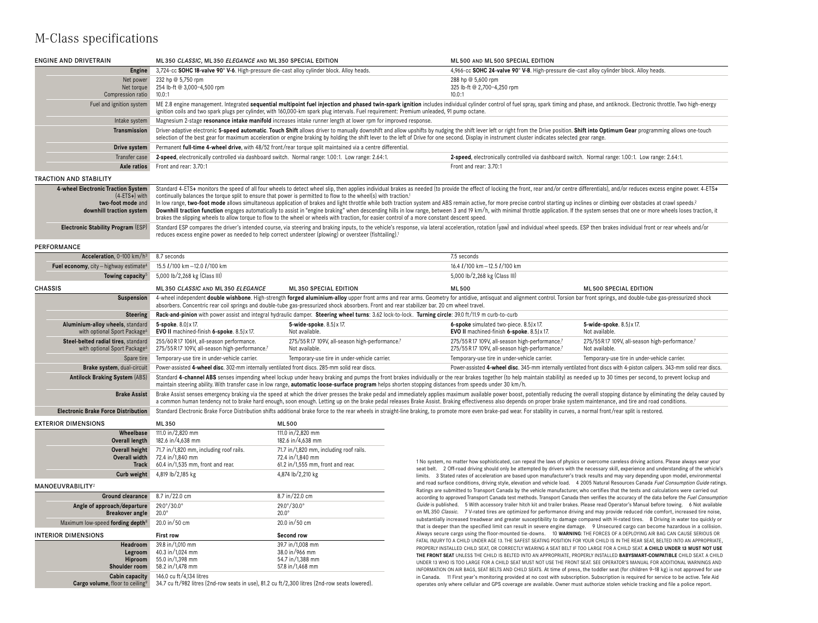### M-Class specifications

| <b>ENGINE AND DRIVETRAIN</b>                                                                              | ML350 CLASSIC, ML350 ELEGANCE AND ML350 SPECIAL EDITION                                                                                                                                                                                                                                                                                                                                                                                                                                                                                                                                                                                                                                                                                                                                                                                                                                                                                                                            |                                                                                                                                                                                                                                                                                                                                                                                                                                                            | ML500 AND ML500 SPECIAL EDITION                                                                                                     |                                                                                                                                                                                                                                                                                   |
|-----------------------------------------------------------------------------------------------------------|------------------------------------------------------------------------------------------------------------------------------------------------------------------------------------------------------------------------------------------------------------------------------------------------------------------------------------------------------------------------------------------------------------------------------------------------------------------------------------------------------------------------------------------------------------------------------------------------------------------------------------------------------------------------------------------------------------------------------------------------------------------------------------------------------------------------------------------------------------------------------------------------------------------------------------------------------------------------------------|------------------------------------------------------------------------------------------------------------------------------------------------------------------------------------------------------------------------------------------------------------------------------------------------------------------------------------------------------------------------------------------------------------------------------------------------------------|-------------------------------------------------------------------------------------------------------------------------------------|-----------------------------------------------------------------------------------------------------------------------------------------------------------------------------------------------------------------------------------------------------------------------------------|
| Engine                                                                                                    | 3,724-cc SOHC 18-valve 90° V-6. High-pressure die-cast alloy cylinder block. Alloy heads.                                                                                                                                                                                                                                                                                                                                                                                                                                                                                                                                                                                                                                                                                                                                                                                                                                                                                          |                                                                                                                                                                                                                                                                                                                                                                                                                                                            | 4,966-cc SOHC 24-valve 90° V-8. High-pressure die-cast alloy cylinder block. Alloy heads.                                           |                                                                                                                                                                                                                                                                                   |
| Net power<br>Net torque<br>Compression ratio                                                              | 232 hp @ 5.750 rpm<br>254 lb-ft @ 3,000-4,500 rpm<br>10.0:1                                                                                                                                                                                                                                                                                                                                                                                                                                                                                                                                                                                                                                                                                                                                                                                                                                                                                                                        |                                                                                                                                                                                                                                                                                                                                                                                                                                                            | 288 hp @ 5,600 rpm<br>325 lb-ft @ 2,700-4,250 rpm<br>10.0:1                                                                         |                                                                                                                                                                                                                                                                                   |
| Fuel and ignition system                                                                                  |                                                                                                                                                                                                                                                                                                                                                                                                                                                                                                                                                                                                                                                                                                                                                                                                                                                                                                                                                                                    | ME 2.8 engine management. Integrated sequential multipoint fuel injection and phased twin-spark ignition includes individual cylinder control of fuel spray, spark timing and phase, and antiknock. Electronic throttle. Two h<br>ignition coils and two spark plugs per cylinder, with 160,000-km spark plug intervals. Fuel requirement: Premium unleaded, 91 pump octane.                                                                               |                                                                                                                                     |                                                                                                                                                                                                                                                                                   |
| Intake system                                                                                             |                                                                                                                                                                                                                                                                                                                                                                                                                                                                                                                                                                                                                                                                                                                                                                                                                                                                                                                                                                                    | Magnesium 2-stage resonance intake manifold increases intake runner length at lower rpm for improved response.                                                                                                                                                                                                                                                                                                                                             |                                                                                                                                     |                                                                                                                                                                                                                                                                                   |
| <b>Transmission</b>                                                                                       |                                                                                                                                                                                                                                                                                                                                                                                                                                                                                                                                                                                                                                                                                                                                                                                                                                                                                                                                                                                    | Driver-adaptive electronic 5-speed automatic. Touch Shift allows driver to manually downshift and allow upshifts by nudging the shift lever left or right from the Drive position. Shift into Optimum Gear programming allows<br>selection of the best gear for maximum acceleration or engine braking by holding the shift lever to the left of Drive for one second. Display in instrument cluster indicates selected gear range.                        |                                                                                                                                     |                                                                                                                                                                                                                                                                                   |
| Drive system                                                                                              | Permanent full-time 4-wheel drive, with 48/52 front/rear torque split maintained via a centre differential.                                                                                                                                                                                                                                                                                                                                                                                                                                                                                                                                                                                                                                                                                                                                                                                                                                                                        |                                                                                                                                                                                                                                                                                                                                                                                                                                                            |                                                                                                                                     |                                                                                                                                                                                                                                                                                   |
| Transfer case                                                                                             | 2-speed, electronically controlled via dashboard switch. Normal range: 1.00:1. Low range: 2.64:1.                                                                                                                                                                                                                                                                                                                                                                                                                                                                                                                                                                                                                                                                                                                                                                                                                                                                                  |                                                                                                                                                                                                                                                                                                                                                                                                                                                            | 2-speed, electronically controlled via dashboard switch. Normal range: 1.00:1. Low range: 2.64:1.                                   |                                                                                                                                                                                                                                                                                   |
| Axle ratios                                                                                               | Front and rear: 3.70:1                                                                                                                                                                                                                                                                                                                                                                                                                                                                                                                                                                                                                                                                                                                                                                                                                                                                                                                                                             |                                                                                                                                                                                                                                                                                                                                                                                                                                                            | Front and rear: 3.70:1                                                                                                              |                                                                                                                                                                                                                                                                                   |
| <b>TRACTION AND STABILITY</b>                                                                             |                                                                                                                                                                                                                                                                                                                                                                                                                                                                                                                                                                                                                                                                                                                                                                                                                                                                                                                                                                                    |                                                                                                                                                                                                                                                                                                                                                                                                                                                            |                                                                                                                                     |                                                                                                                                                                                                                                                                                   |
| 4-wheel Electronic Traction System<br>$(4 - ETS +)$ with<br>two-foot mode and<br>downhill traction system | Standard 4-ETS+ monitors the speed of all four wheels to detect wheel slip, then applies individual brakes as needed (to provide the effect of locking the front, rear and/or centre differentials), and/or reduces excess eng<br>continually balances the torque split to ensure that power is permitted to flow to the wheel(s) with traction. <sup>1</sup><br>In low range, two-foot mode allows simultaneous application of brakes and light throttle while both traction system and ABS remain active, for more precise control starting up inclines or climbing over obstacles at crawl s<br>Downhill traction function engages automatically to assist in "engine braking" when descending hills in low range, between 3 and 19 km/h, with minimal throttle application. If the system senses that one or more wheels lose<br>brakes the slipping wheels to allow torque to flow to the wheel or wheels with traction, for easier control of a more constant descent speed. |                                                                                                                                                                                                                                                                                                                                                                                                                                                            |                                                                                                                                     |                                                                                                                                                                                                                                                                                   |
| Electronic Stability Program (ESP)                                                                        | reduces excess engine power as needed to help correct understeer (plowing) or oversteer (fishtailing). <sup>1</sup>                                                                                                                                                                                                                                                                                                                                                                                                                                                                                                                                                                                                                                                                                                                                                                                                                                                                | Standard ESP compares the driver's intended course, via steering and braking inputs, to the vehicle's response, via lateral acceleration, rotation (yaw) and individual wheel speeds. ESP then brakes individual front or rear                                                                                                                                                                                                                             |                                                                                                                                     |                                                                                                                                                                                                                                                                                   |
| PERFORMANCE                                                                                               |                                                                                                                                                                                                                                                                                                                                                                                                                                                                                                                                                                                                                                                                                                                                                                                                                                                                                                                                                                                    |                                                                                                                                                                                                                                                                                                                                                                                                                                                            |                                                                                                                                     |                                                                                                                                                                                                                                                                                   |
| Acceleration, 0-100 km/h <sup>3</sup>                                                                     | 8.7 seconds                                                                                                                                                                                                                                                                                                                                                                                                                                                                                                                                                                                                                                                                                                                                                                                                                                                                                                                                                                        |                                                                                                                                                                                                                                                                                                                                                                                                                                                            | 7.5 seconds                                                                                                                         |                                                                                                                                                                                                                                                                                   |
| Fuel economy, city-highway estimate <sup>4</sup>                                                          | 15.5 <i>L</i> /100 km - 12.0 <i>L</i> /100 km                                                                                                                                                                                                                                                                                                                                                                                                                                                                                                                                                                                                                                                                                                                                                                                                                                                                                                                                      |                                                                                                                                                                                                                                                                                                                                                                                                                                                            | 16.4 <i>L</i> /100 km - 12.5 <i>L</i> /100 km                                                                                       |                                                                                                                                                                                                                                                                                   |
| Towing capacity <sup>5</sup>                                                                              | 5,000 lb/2,268 kg (Class III)                                                                                                                                                                                                                                                                                                                                                                                                                                                                                                                                                                                                                                                                                                                                                                                                                                                                                                                                                      |                                                                                                                                                                                                                                                                                                                                                                                                                                                            | 5,000 lb/2,268 kg (Class III)                                                                                                       |                                                                                                                                                                                                                                                                                   |
| <b>CHASSIS</b>                                                                                            | ML350 CLASSIC AND ML350 ELEGANCE                                                                                                                                                                                                                                                                                                                                                                                                                                                                                                                                                                                                                                                                                                                                                                                                                                                                                                                                                   | <b>ML350 SPECIAL EDITION</b>                                                                                                                                                                                                                                                                                                                                                                                                                               | <b>ML500</b>                                                                                                                        | <b>ML500 SPECIAL EDITION</b>                                                                                                                                                                                                                                                      |
| <b>Suspension</b>                                                                                         |                                                                                                                                                                                                                                                                                                                                                                                                                                                                                                                                                                                                                                                                                                                                                                                                                                                                                                                                                                                    | 4-wheel independent double wishbone. High-strength forged aluminium-alloy upper front arms and rear arms. Geometry for antidive, antisquat and alignment control. Torsion bar front springs, and double-tube gas-pressurized s<br>absorbers. Concentric rear coil springs and double-tube gas-pressurized shock absorbers. Front and rear stabilizer bar. 20 cm wheel travel.                                                                              |                                                                                                                                     |                                                                                                                                                                                                                                                                                   |
| <b>Steering</b>                                                                                           |                                                                                                                                                                                                                                                                                                                                                                                                                                                                                                                                                                                                                                                                                                                                                                                                                                                                                                                                                                                    | Rack-and-pinion with power assist and integral hydraulic damper. Steering wheel turns: 3.62 lock-to-lock. Turning circle: 39.0 ft/11.9 m curb-to-curb                                                                                                                                                                                                                                                                                                      |                                                                                                                                     |                                                                                                                                                                                                                                                                                   |
| Aluminium-alloy wheels, standard<br>with optional Sport Package <sup>6</sup>                              | 5-spoke. 8.0J x 17.<br>EVO II machined-finish 6-spoke. 8.5Jx 17.                                                                                                                                                                                                                                                                                                                                                                                                                                                                                                                                                                                                                                                                                                                                                                                                                                                                                                                   | 5-wide-spoke. 8.5J x 17.<br>Not available.                                                                                                                                                                                                                                                                                                                                                                                                                 | 6-spoke simulated two-piece. 8.5Jx 17.<br>EVO II machined-finish 6-spoke. 8.5Jx 17.                                                 | 5-wide-spoke. 8.5J x 17.<br>Not available.                                                                                                                                                                                                                                        |
| Steel-belted radial tires, standard<br>with optional Sport Package <sup>6</sup>                           | 255/60 R17 106H, all-season performance.<br>275/55R17 109V, all-season high-performance.7                                                                                                                                                                                                                                                                                                                                                                                                                                                                                                                                                                                                                                                                                                                                                                                                                                                                                          | 275/55 R 17 109V, all-season high-performance.7<br>Not available.                                                                                                                                                                                                                                                                                                                                                                                          | 275/55R17 109V, all-season high-performance.7<br>275/55R17 109V, all-season high-performance.7                                      | 275/55R17 109V, all-season high-performance.7<br>Not available.                                                                                                                                                                                                                   |
| Spare tire                                                                                                | Temporary-use tire in under-vehicle carrier.                                                                                                                                                                                                                                                                                                                                                                                                                                                                                                                                                                                                                                                                                                                                                                                                                                                                                                                                       | Temporary-use tire in under-vehicle carrier.                                                                                                                                                                                                                                                                                                                                                                                                               | Temporary-use tire in under-vehicle carrier.                                                                                        | Temporary-use tire in under-vehicle carrier.                                                                                                                                                                                                                                      |
| Brake system, dual-circuit                                                                                | Power-assisted 4-wheel disc. 302-mm internally ventilated front discs. 285-mm solid rear discs.                                                                                                                                                                                                                                                                                                                                                                                                                                                                                                                                                                                                                                                                                                                                                                                                                                                                                    |                                                                                                                                                                                                                                                                                                                                                                                                                                                            |                                                                                                                                     | Power-assisted 4-wheel disc. 345-mm internally ventilated front discs with 4-piston calipers. 343-mm solid rear discs.                                                                                                                                                            |
| <b>Antilock Braking System (ABS)</b>                                                                      |                                                                                                                                                                                                                                                                                                                                                                                                                                                                                                                                                                                                                                                                                                                                                                                                                                                                                                                                                                                    | Standard 4-channel ABS senses impending wheel lockup under heavy braking and pumps the front brakes individually or the rear brakes together (to help maintain stability) as needed up to 30 times per second, to prevent lock<br>maintain steering ability. With transfer case in low range, automatic loose-surface program helps shorten stopping distances from speeds under 30 km/h.                                                                  |                                                                                                                                     |                                                                                                                                                                                                                                                                                   |
| <b>Brake Assist</b>                                                                                       |                                                                                                                                                                                                                                                                                                                                                                                                                                                                                                                                                                                                                                                                                                                                                                                                                                                                                                                                                                                    | Brake Assist senses emergency braking via the speed at which the driver presses the brake pedal and immediately applies maximum available power boost, potentially reducing the overall stopping distance by eliminating the d<br>a common human tendency not to brake hard enough, soon enough. Letting up on the brake pedal releases Brake Assist. Braking effectiveness also depends on proper brake system maintenance, and tire and road conditions. |                                                                                                                                     |                                                                                                                                                                                                                                                                                   |
| <b>Electronic Brake Force Distribution</b>                                                                |                                                                                                                                                                                                                                                                                                                                                                                                                                                                                                                                                                                                                                                                                                                                                                                                                                                                                                                                                                                    | Standard Electronic Brake Force Distribution shifts additional brake force to the rear wheels in straight-line braking, to promote more even brake-pad wear. For stability in curves, a normal front/rear split is restored.                                                                                                                                                                                                                               |                                                                                                                                     |                                                                                                                                                                                                                                                                                   |
| <b>EXTERIOR DIMENSIONS</b>                                                                                | ML350                                                                                                                                                                                                                                                                                                                                                                                                                                                                                                                                                                                                                                                                                                                                                                                                                                                                                                                                                                              | ML500                                                                                                                                                                                                                                                                                                                                                                                                                                                      |                                                                                                                                     |                                                                                                                                                                                                                                                                                   |
| Wheelbase                                                                                                 | 111.0 in/2,820 mm                                                                                                                                                                                                                                                                                                                                                                                                                                                                                                                                                                                                                                                                                                                                                                                                                                                                                                                                                                  | 111.0 in/2,820 mm                                                                                                                                                                                                                                                                                                                                                                                                                                          |                                                                                                                                     |                                                                                                                                                                                                                                                                                   |
| Overall length                                                                                            | 182.6 in/4,638 mm                                                                                                                                                                                                                                                                                                                                                                                                                                                                                                                                                                                                                                                                                                                                                                                                                                                                                                                                                                  | 182.6 in/4,638 mm                                                                                                                                                                                                                                                                                                                                                                                                                                          |                                                                                                                                     |                                                                                                                                                                                                                                                                                   |
| Overall height<br>Overall width                                                                           | 71.7 in/1,820 mm, including roof rails.<br>72.4 in/1.840 mm                                                                                                                                                                                                                                                                                                                                                                                                                                                                                                                                                                                                                                                                                                                                                                                                                                                                                                                        | 71.7 in/1,820 mm, including roof rails.<br>72.4 in/1.840 mm                                                                                                                                                                                                                                                                                                                                                                                                |                                                                                                                                     |                                                                                                                                                                                                                                                                                   |
| <b>Track</b>                                                                                              | 60.4 in/1.535 mm, front and rear.                                                                                                                                                                                                                                                                                                                                                                                                                                                                                                                                                                                                                                                                                                                                                                                                                                                                                                                                                  | 61.2 in/1,555 mm, front and rear.                                                                                                                                                                                                                                                                                                                                                                                                                          |                                                                                                                                     | 1 No system, no matter how sophisticated, can repeal the laws of physics or overcome careless driving actions. Please always wear your                                                                                                                                            |
| Curb weight                                                                                               | 4,819 lb/2,185 kg                                                                                                                                                                                                                                                                                                                                                                                                                                                                                                                                                                                                                                                                                                                                                                                                                                                                                                                                                                  | 4,874 lb/2,210 kg                                                                                                                                                                                                                                                                                                                                                                                                                                          |                                                                                                                                     | seat belt. 2 Off-road driving should only be attempted by drivers with the necessary skill, experience and understanding of the vehicle's<br>limits. 3 Stated rates of acceleration are based upon manufacturer's track results and may vary depending upon model, environmental  |
| MANOEUVRABILITY <sup>2</sup>                                                                              |                                                                                                                                                                                                                                                                                                                                                                                                                                                                                                                                                                                                                                                                                                                                                                                                                                                                                                                                                                                    |                                                                                                                                                                                                                                                                                                                                                                                                                                                            |                                                                                                                                     | and road surface conditions, driving style, elevation and vehicle load. 4 2005 Natural Resources Canada Fuel Consumption Guide ratings                                                                                                                                            |
| <b>Ground clearance</b>                                                                                   | 8.7 in/22.0 cm                                                                                                                                                                                                                                                                                                                                                                                                                                                                                                                                                                                                                                                                                                                                                                                                                                                                                                                                                                     | 8.7 in/22.0 cm                                                                                                                                                                                                                                                                                                                                                                                                                                             |                                                                                                                                     | Ratings are submitted to Transport Canada by the vehicle manufacturer, who certifies that the tests and calculations were carried out<br>according to approved Transport Canada test methods. Transport Canada then verifies the accuracy of the data before the Fuel Consumption |
| Angle of approach/departure                                                                               | $29.0^{\circ}/30.0^{\circ}$                                                                                                                                                                                                                                                                                                                                                                                                                                                                                                                                                                                                                                                                                                                                                                                                                                                                                                                                                        | 29.0°/30.0°                                                                                                                                                                                                                                                                                                                                                                                                                                                |                                                                                                                                     | Guide is published. 5 With accessory trailer hitch kit and trailer brakes. Please read Operator's Manual before towing. 6 Not available                                                                                                                                           |
| <b>Breakover angle</b>                                                                                    | $20.0^\circ$<br>$20.0^\circ$                                                                                                                                                                                                                                                                                                                                                                                                                                                                                                                                                                                                                                                                                                                                                                                                                                                                                                                                                       |                                                                                                                                                                                                                                                                                                                                                                                                                                                            |                                                                                                                                     | on ML350 Classic. 7 V-rated tires are optimized for performance driving and may provide reduced ride comfort, increased tire noise,                                                                                                                                               |
| Maximum low-speed fording depth <sup>8</sup>                                                              | 20.0 in/50 cm                                                                                                                                                                                                                                                                                                                                                                                                                                                                                                                                                                                                                                                                                                                                                                                                                                                                                                                                                                      | 20.0 in/50 cm                                                                                                                                                                                                                                                                                                                                                                                                                                              |                                                                                                                                     | substantially increased treadwear and greater susceptibility to damage compared with H-rated tires. 8 Driving in water too quickly or<br>that is deeper than the specified limit can result in severe engine damage. 9 Unsecured cargo can become hazardous in a collision.       |
| <b>INTERIOR DIMENSIONS</b>                                                                                | <b>First row</b>                                                                                                                                                                                                                                                                                                                                                                                                                                                                                                                                                                                                                                                                                                                                                                                                                                                                                                                                                                   | Second row                                                                                                                                                                                                                                                                                                                                                                                                                                                 |                                                                                                                                     | Always secure cargo using the floor-mounted tie-downs. 10 WARNING: THE FORCES OF A DEPLOYING AIR BAG CAN CAUSE SERIOUS OR                                                                                                                                                         |
| Headroom                                                                                                  | 39.8 in/1,010 mm                                                                                                                                                                                                                                                                                                                                                                                                                                                                                                                                                                                                                                                                                                                                                                                                                                                                                                                                                                   | 39.7 in/1,008 mm                                                                                                                                                                                                                                                                                                                                                                                                                                           |                                                                                                                                     | FATAL INJURY TO A CHILD UNDER AGE 13. THE SAFEST SEATING POSITION FOR YOUR CHILD IS IN THE REAR SEAT, BELTED INTO AN APPROPRIATE,<br>PROPERLY INSTALLED CHILD SEAT, OR CORRECTLY WEARING A SEAT BELT JETOO LARGE FOR A CHILD SEAT, A CHILD UNDER 13 MUST NOT USE                  |
| Legroom                                                                                                   | 40.3 in/1,024 mm                                                                                                                                                                                                                                                                                                                                                                                                                                                                                                                                                                                                                                                                                                                                                                                                                                                                                                                                                                   | 38.0 in/966 mm                                                                                                                                                                                                                                                                                                                                                                                                                                             |                                                                                                                                     | THE FRONT SEAT UNLESS THE CHILD IS BELTED INTO AN APPROPRIATE. PROPERLY INSTALLED BABYSMART-COMPATIBLE CHILD SEAT. A CHILD                                                                                                                                                        |
| Hiproom                                                                                                   | 55.0 in/1,398 mm                                                                                                                                                                                                                                                                                                                                                                                                                                                                                                                                                                                                                                                                                                                                                                                                                                                                                                                                                                   | 54.7 in/1,388 mm                                                                                                                                                                                                                                                                                                                                                                                                                                           |                                                                                                                                     | UNDER 13 WHO IS TOO LARGE FOR A CHILD SEAT MUST NOT USE THE FRONT SEAT. SEE OPERATOR'S MANUAL FOR ADDITIONAL WARNINGS AND                                                                                                                                                         |
| Shoulder room                                                                                             | 58.2 in/1,478 mm                                                                                                                                                                                                                                                                                                                                                                                                                                                                                                                                                                                                                                                                                                                                                                                                                                                                                                                                                                   | 57.8 in/1,468 mm                                                                                                                                                                                                                                                                                                                                                                                                                                           |                                                                                                                                     | INFORMATION ON AIR BAGS, SEAT BELTS AND CHILD SEATS. At time of press, the toddler seat (for children 9-18 kg) is not approved for use                                                                                                                                            |
| Cabin capacity<br>Cargo volume, floor to ceiling <sup>9</sup>                                             | 146.0 cu ft/4,134 litres<br>34.7 cu ft/982 litres (2nd-row seats in use), 81.2 cu ft/2,300 litres (2nd-row seats lowered)                                                                                                                                                                                                                                                                                                                                                                                                                                                                                                                                                                                                                                                                                                                                                                                                                                                          |                                                                                                                                                                                                                                                                                                                                                                                                                                                            | operates only where cellular and GPS coverage are available. Owner must authorize stolen vehicle tracking and file a police report. | in Canada. 11 First year's monitoring provided at no cost with subscription. Subscription is required for service to be active. Tele Aid                                                                                                                                          |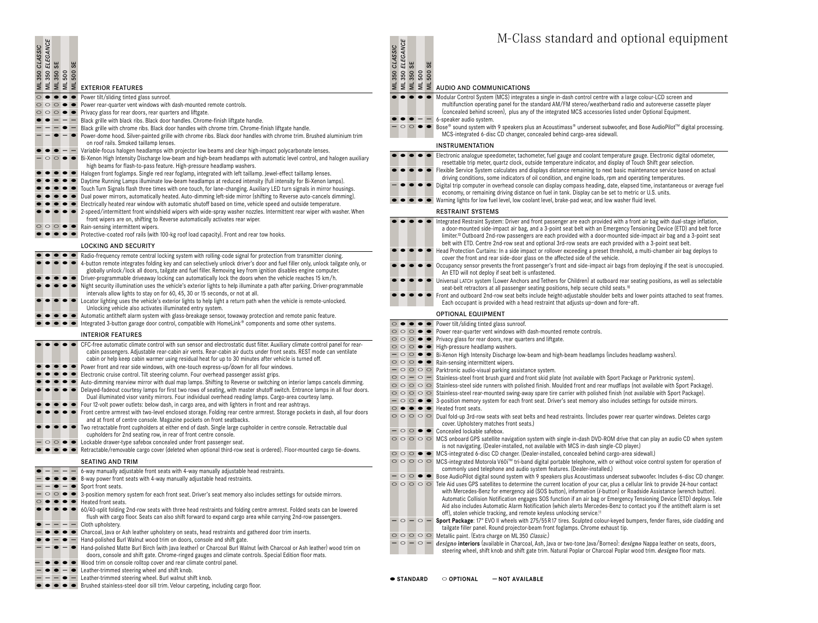| <b>CLASSIC</b><br>ML350                     |         |                        |                        | <b>SULEGANCE<br/>SUBSOS SE<br/>EXPLESOS SE<br/>SUBSOS SE EXTERIOR FEATURES</b>                                                                                                                                                                                                                                                                                      | ML350 CLASSIC |                     | ML 350 ELEGANCE<br>ML 350 SE   |
|---------------------------------------------|---------|------------------------|------------------------|---------------------------------------------------------------------------------------------------------------------------------------------------------------------------------------------------------------------------------------------------------------------------------------------------------------------------------------------------------------------|---------------|---------------------|--------------------------------|
| $\circ$<br>$\bullet$<br>$\circ \circ \circ$ |         | $\bullet$<br>$\bullet$ | $\bullet$<br>$\bullet$ | Power tilt/sliding tinted glass sunroof.                                                                                                                                                                                                                                                                                                                            |               |                     |                                |
| $\circ$<br>$\circ$                          | $\circ$ |                        | $\bullet$              | Power rear-quarter vent windows with dash-mounted remote controls.<br>Privacy glass for rear doors, rear quarters and liftgate.                                                                                                                                                                                                                                     |               |                     |                                |
|                                             |         |                        |                        | Black grille with black ribs. Black door handles. Chrome-finish liftgate handle.                                                                                                                                                                                                                                                                                    |               |                     |                                |
|                                             |         |                        |                        | Black grille with chrome ribs. Black door handles with chrome trim. Chrome-finish liftgate handle.<br>Power-dome hood. Silver-painted grille with chrome ribs. Black door handles with chrome trim. Brushed aluminium trim<br>on roof rails. Smoked taillamp lenses.                                                                                                |               |                     | $\circ$ $\circ$                |
|                                             |         |                        |                        | Variable-focus halogen headlamps with projector low beams and clear high-impact polycarbonate lenses.<br>Bi-Xenon High Intensity Discharge low-beam and high-beam headlamps with automatic level control, and halogen auxiliary<br>high beams for flash-to-pass feature. High-pressure headlamp washers.                                                            |               |                     |                                |
|                                             |         |                        |                        | Halogen front foglamps. Single red rear foglamp, integrated with left taillamp. Jewel-effect taillamp lenses.                                                                                                                                                                                                                                                       |               |                     |                                |
|                                             |         |                        |                        | Daytime Running Lamps illuminate low-beam headlamps at reduced intensity (full intensity for Bi-Xenon lamps).                                                                                                                                                                                                                                                       |               |                     |                                |
|                                             |         |                        |                        | Touch Turn Signals flash three times with one touch, for lane-changing. Auxiliary LED turn signals in mirror housings.<br>Dual power mirrors, automatically heated. Auto-dimming left-side mirror (shifting to Reverse auto-cancels dimming).                                                                                                                       |               |                     |                                |
|                                             |         |                        |                        | Electrically heated rear window with automatic shutoff based on time, vehicle speed and outside temperature.                                                                                                                                                                                                                                                        |               |                     |                                |
|                                             |         |                        |                        | 2-speed/intermittent front windshield wipers with wide-spray washer nozzles. Intermittent rear wiper with washer. When<br>front wipers are on, shifting to Reverse automatically activates rear wiper.                                                                                                                                                              |               |                     |                                |
|                                             |         |                        |                        | Rain-sensing intermittent wipers.                                                                                                                                                                                                                                                                                                                                   |               |                     |                                |
|                                             |         |                        |                        | Protective-coated roof rails (with 100-kg roof load capacity). Front and rear tow hooks.                                                                                                                                                                                                                                                                            |               |                     |                                |
|                                             |         |                        |                        | <b>LOCKING AND SECURITY</b>                                                                                                                                                                                                                                                                                                                                         |               |                     |                                |
|                                             |         |                        |                        | Radio-frequency remote central locking system with rolling-code signal for protection from transmitter cloning.<br>4-button remote integrates folding key and can selectively unlock driver's door and fuel filler only, unlock tailgate only, or<br>globally unlock/lock all doors, tailgate and fuel filler. Removing key from ignition disables engine computer. |               |                     |                                |
|                                             |         |                        |                        | Driver-programmable driveaway locking can automatically lock the doors when the vehicle reaches 15 km/h.<br>Night security illumination uses the vehicle's exterior lights to help illuminate a path after parking. Driver-programmable<br>intervals allow lights to stay on for 60, 45, 30 or 15 seconds, or not at all.                                           |               |                     |                                |
|                                             |         |                        |                        | Locator lighting uses the vehicle's exterior lights to help light a return path when the vehicle is remote-unlocked.<br>Unlocking vehicle also activates illuminated entry system.                                                                                                                                                                                  |               |                     |                                |
|                                             |         |                        |                        | Automatic antitheft alarm system with glass-breakage sensor, towaway protection and remote panic feature.<br>Integrated 3-button garage door control, compatible with HomeLink® components and some other systems.                                                                                                                                                  |               |                     |                                |
|                                             |         |                        |                        | <b>INTERIOR FEATURES</b>                                                                                                                                                                                                                                                                                                                                            |               |                     | $\circ$                        |
|                                             |         |                        |                        | CFC-free automatic climate control with sun sensor and electrostatic dust filter. Auxiliary climate control panel for rear-                                                                                                                                                                                                                                         |               |                     | $\circ$                        |
|                                             |         |                        |                        | cabin passengers. Adjustable rear-cabin air vents. Rear-cabin air ducts under front seats. REST mode can ventilate                                                                                                                                                                                                                                                  |               |                     | $\circ \circ \circ$<br>$\circ$ |
|                                             |         |                        |                        | cabin or help keep cabin warmer using residual heat for up to 30 minutes after vehicle is turned off.                                                                                                                                                                                                                                                               |               |                     | 000                            |
|                                             |         |                        |                        | Power front and rear side windows, with one-touch express-up/down for all four windows.<br>Electronic cruise control. Tilt steering column. Four overhead passenger assist grips.                                                                                                                                                                                   |               |                     | $\overline{\circ}$             |
|                                             |         |                        |                        | Auto-dimming rearview mirror with dual map lamps. Shifting to Reverse or switching on interior lamps cancels dimming.                                                                                                                                                                                                                                               |               | $\circ$ $\circ$ $-$ | $\circ \circ \circ$            |
|                                             |         |                        |                        | Delayed-fadeout courtesy lamps for first two rows of seating, with master shutoff switch. Entrance lamps in all four doors.                                                                                                                                                                                                                                         |               |                     | $\circ \circ \circ$            |
|                                             |         |                        |                        | Dual illuminated visor vanity mirrors. Four individual overhead reading lamps. Cargo-area courtesy lamp.<br>Four 12-volt power outlets: below dash, in cargo area, and with lighters in front and rear ashtrays.                                                                                                                                                    |               |                     | $ \circ$ $\circ$               |
|                                             |         |                        |                        | Front centre armrest with two-level enclosed storage. Folding rear centre armrest. Storage pockets in dash, all four doors<br>and at front of centre console. Magazine pockets on front seatbacks.                                                                                                                                                                  | $\circ$       | $\bullet$           | 000                            |
|                                             |         |                        |                        | Two retractable front cupholders at either end of dash. Single large cupholder in centre console. Retractable dual<br>cupholders for 2nd seating row, in rear of front centre console.                                                                                                                                                                              |               |                     | $ \circ$ $\circ$               |
|                                             |         |                        |                        | Lockable drawer-type safebox concealed under front passenger seat.                                                                                                                                                                                                                                                                                                  |               |                     | $\circ \circ \circ$            |
|                                             |         |                        |                        | Retractable/removable cargo cover (deleted when optional third-row seat is ordered). Floor-mounted cargo tie-downs.                                                                                                                                                                                                                                                 |               |                     | $\circ \circ \circ$            |
|                                             |         |                        |                        | SEATING AND TRIM                                                                                                                                                                                                                                                                                                                                                    |               |                     | $\circ \circ \circ$            |
|                                             |         |                        |                        | 6-way manually adjustable front seats with 4-way manually adjustable head restraints.                                                                                                                                                                                                                                                                               |               |                     | $ \circ$ $\circ$               |
|                                             |         |                        |                        | 8-way power front seats with 4-way manually adjustable head restraints.<br>Sport front seats.                                                                                                                                                                                                                                                                       |               |                     | $\circ \circ \circ$            |
|                                             |         |                        |                        | 3-position memory system for each front seat. Driver's seat memory also includes settings for outside mirrors.                                                                                                                                                                                                                                                      |               |                     |                                |
|                                             |         |                        |                        | Heated front seats.                                                                                                                                                                                                                                                                                                                                                 |               |                     |                                |
|                                             |         |                        |                        | 60/40-split folding 2nd-row seats with three head restraints and folding centre armrest. Folded seats can be lowered<br>flush with cargo floor. Seats can also shift forward to expand cargo area while carrying 2nd-row passengers.                                                                                                                                |               |                     |                                |
|                                             |         |                        |                        | Cloth upholstery.                                                                                                                                                                                                                                                                                                                                                   |               | $\circ$             |                                |
|                                             |         |                        |                        | Charcoal, Java or Ash leather upholstery on seats, head restraints and gathered door trim inserts.                                                                                                                                                                                                                                                                  |               |                     | $\circ \circ \circ$            |
|                                             |         |                        |                        | Hand-polished Burl Walnut wood trim on doors, console and shift gate.<br>Hand-polished Matte Burl Birch (with Java leather) or Charcoal Burl Walnut (with Charcoal or Ash leather) wood trim on                                                                                                                                                                     |               |                     | $\circ$ -                      |
|                                             |         |                        |                        | doors, console and shift gate. Chrome-ringed gauges and climate controls. Special Edition floor mats.<br>Wood trim on console rolltop cover and rear climate control panel.                                                                                                                                                                                         |               |                     |                                |
|                                             |         |                        |                        | Leather-trimmed steering wheel and shift knob.                                                                                                                                                                                                                                                                                                                      |               |                     |                                |
|                                             |         |                        |                        | Leather-trimmed steering wheel. Burl walnut shift knob.                                                                                                                                                                                                                                                                                                             |               |                     | $\bullet$ STAND                |
|                                             |         |                        |                        | Brushed stainless-steel door sill trim. Velour carpeting, including cargo floor.                                                                                                                                                                                                                                                                                    |               |                     |                                |

| ML 500<br>ML 500 SE | AUDIO AND COMMUNICATIONS                                                                                                                                                                                                                                                                                                              |
|---------------------|---------------------------------------------------------------------------------------------------------------------------------------------------------------------------------------------------------------------------------------------------------------------------------------------------------------------------------------|
|                     | Modular Control System (MCS) integrates a single in-dash control centre with a large colour-LCD screen and<br>multifunction operating panel for the standard AM/FM stereo/weatherband radio and autoreverse cassette player<br>(concealed behind screen), plus any of the integrated MCS accessories listed under Optional Equipment. |
|                     | 6-speaker audio system.                                                                                                                                                                                                                                                                                                               |
|                     | Bose® sound system with 9 speakers plus an Acoustimass® underseat subwoofer, and Bose AudioPilot™ digital processing.<br>MCS-integrated 6-disc CD changer, concealed behind cargo-area sidewall.                                                                                                                                      |
|                     | <b>INSTRUMENTATION</b>                                                                                                                                                                                                                                                                                                                |
|                     | Electronic analogue speedometer, tachometer, fuel gauge and coolant temperature gauge. Electronic digital odometer,<br>resettable trip meter, quartz clock, outside temperature indicator, and display of Touch Shift gear selection.                                                                                                 |

|                                                                                                                                                                                                                                                                                                                                                                                                                                                                                 |           | Electronic analogue speedometer, tachometer, fuel gauge and coolant temperature gauge. Electronic digital odometer,<br>resettable trip meter, quartz clock, outside temperature indicator, and display of Touch Shift gear selection.<br>Flexible Service System calculates and displays distance remaining to next basic maintenance service based on actual<br>driving conditions, some indicators of oil condition, and engine loads, rpm and operating temperatures.<br>Digital trip computer in overhead console can display compass heading, date, elapsed time, instantaneous or average fuel<br>economy, or remaining driving distance on fuel in tank. Display can be set to metric or U.S. units.<br>Warning lights for low fuel level, low coolant level, brake-pad wear, and low washer fluid level.                                                                                                                                                                                                                                                                                                                                                                                                                                                                                                                                  |
|---------------------------------------------------------------------------------------------------------------------------------------------------------------------------------------------------------------------------------------------------------------------------------------------------------------------------------------------------------------------------------------------------------------------------------------------------------------------------------|-----------|---------------------------------------------------------------------------------------------------------------------------------------------------------------------------------------------------------------------------------------------------------------------------------------------------------------------------------------------------------------------------------------------------------------------------------------------------------------------------------------------------------------------------------------------------------------------------------------------------------------------------------------------------------------------------------------------------------------------------------------------------------------------------------------------------------------------------------------------------------------------------------------------------------------------------------------------------------------------------------------------------------------------------------------------------------------------------------------------------------------------------------------------------------------------------------------------------------------------------------------------------------------------------------------------------------------------------------------------------|
|                                                                                                                                                                                                                                                                                                                                                                                                                                                                                 |           | <b>RESTRAINT SYSTEMS</b>                                                                                                                                                                                                                                                                                                                                                                                                                                                                                                                                                                                                                                                                                                                                                                                                                                                                                                                                                                                                                                                                                                                                                                                                                                                                                                                          |
|                                                                                                                                                                                                                                                                                                                                                                                                                                                                                 |           | Integrated Restraint System: Driver and front passenger are each provided with a front air bag with dual-stage inflation,<br>a door-mounted side-impact air bag, and a 3-point seat belt with an Emergency Tensioning Device (ETD) and belt force<br>limiter. <sup>10</sup> Outboard 2nd-row passengers are each provided with a door-mounted side-impact air bag and a 3-point seat<br>belt with ETD. Centre 2nd-row seat and optional 3rd-row seats are each provided with a 3-point seat belt.<br>Head Protection Curtains: In a side impact or rollover exceeding a preset threshold, a multi-chamber air bag deploys to<br>cover the front and rear side-door glass on the affected side of the vehicle.<br>Occupancy sensor prevents the front passenger's front and side-impact air bags from deploying if the seat is unoccupied.<br>An ETD will not deploy if seat belt is unfastened.<br>Universal LATCH system (Lower Anchors and Tethers for Children) at outboard rear seating positions, as well as selectable<br>seat-belt retractors at all passenger seating positions, help secure child seats. <sup>10</sup><br>Front and outboard 2nd-row seat belts include height-adjustable shoulder belts and lower points attached to seat frames.<br>Each occupant is provided with a head restraint that adjusts up-down and fore-aft. |
|                                                                                                                                                                                                                                                                                                                                                                                                                                                                                 |           | <b>OPTIONAL EQUIPMENT</b>                                                                                                                                                                                                                                                                                                                                                                                                                                                                                                                                                                                                                                                                                                                                                                                                                                                                                                                                                                                                                                                                                                                                                                                                                                                                                                                         |
| $\circ\circ\circ\bullet\bullet$<br>$\circ\circ\circ\bullet\bullet$                                                                                                                                                                                                                                                                                                                                                                                                              | $\bullet$ | Power tilt/sliding tinted glass sunroof.<br>Power rear-quarter vent windows with dash-mounted remote controls.<br>Privacy glass for rear doors, rear quarters and liftgate.                                                                                                                                                                                                                                                                                                                                                                                                                                                                                                                                                                                                                                                                                                                                                                                                                                                                                                                                                                                                                                                                                                                                                                       |
| $\circ\circ\circ\bullet\bullet$                                                                                                                                                                                                                                                                                                                                                                                                                                                 |           | High-pressure headlamp washers.                                                                                                                                                                                                                                                                                                                                                                                                                                                                                                                                                                                                                                                                                                                                                                                                                                                                                                                                                                                                                                                                                                                                                                                                                                                                                                                   |
| $\overline{\phantom{a}}$ $\overline{\phantom{a}}$ $\overline{\phantom{a}}$ $\overline{\phantom{a}}$ $\overline{\phantom{a}}$ $\overline{\phantom{a}}$ $\overline{\phantom{a}}$ $\overline{\phantom{a}}$ $\overline{\phantom{a}}$ $\overline{\phantom{a}}$ $\overline{\phantom{a}}$ $\overline{\phantom{a}}$ $\overline{\phantom{a}}$ $\overline{\phantom{a}}$ $\overline{\phantom{a}}$ $\overline{\phantom{a}}$ $\overline{\phantom{a}}$ $\overline{\phantom{a}}$ $\overline{\$ |           | Bi-Xenon High Intensity Discharge low-beam and high-beam headlamps (includes headlamp washers).                                                                                                                                                                                                                                                                                                                                                                                                                                                                                                                                                                                                                                                                                                                                                                                                                                                                                                                                                                                                                                                                                                                                                                                                                                                   |
|                                                                                                                                                                                                                                                                                                                                                                                                                                                                                 |           | $\circ$ $\circ$ $\bullet$ $\bullet$ Rain-sensing intermittent wipers.                                                                                                                                                                                                                                                                                                                                                                                                                                                                                                                                                                                                                                                                                                                                                                                                                                                                                                                                                                                                                                                                                                                                                                                                                                                                             |
|                                                                                                                                                                                                                                                                                                                                                                                                                                                                                 |           | $\overline{\phantom{a}}$ $\circ$ $\circ$ $\circ$ Parktronic audio-visual parking assistance system.                                                                                                                                                                                                                                                                                                                                                                                                                                                                                                                                                                                                                                                                                                                                                                                                                                                                                                                                                                                                                                                                                                                                                                                                                                               |
| $\circ$ $\circ$ $\circ$ $\circ$ $\circ$                                                                                                                                                                                                                                                                                                                                                                                                                                         |           | Stainless-steel front brush guard and front skid plate (not available with Sport Package or Parktronic system).                                                                                                                                                                                                                                                                                                                                                                                                                                                                                                                                                                                                                                                                                                                                                                                                                                                                                                                                                                                                                                                                                                                                                                                                                                   |
|                                                                                                                                                                                                                                                                                                                                                                                                                                                                                 |           | ○ ○ ○ ○ Stainless-steel side runners with polished finish. Moulded front and rear mudflaps (not available with Sport Package).                                                                                                                                                                                                                                                                                                                                                                                                                                                                                                                                                                                                                                                                                                                                                                                                                                                                                                                                                                                                                                                                                                                                                                                                                    |
|                                                                                                                                                                                                                                                                                                                                                                                                                                                                                 |           | ○ ○ ○ ○ Stainless-steel rear-mounted swing-away spare tire carrier with polished finish (not available with Sport Package).                                                                                                                                                                                                                                                                                                                                                                                                                                                                                                                                                                                                                                                                                                                                                                                                                                                                                                                                                                                                                                                                                                                                                                                                                       |
|                                                                                                                                                                                                                                                                                                                                                                                                                                                                                 |           | $ \circ$ $\circ$ $\bullet$ $\bullet$ 3-position memory system for each front seat. Driver's seat memory also includes settings for outside mirrors.                                                                                                                                                                                                                                                                                                                                                                                                                                                                                                                                                                                                                                                                                                                                                                                                                                                                                                                                                                                                                                                                                                                                                                                               |
| $\circ$ $\bullet$                                                                                                                                                                                                                                                                                                                                                                                                                                                               |           | $\bullet \bullet$ Heated front seats.                                                                                                                                                                                                                                                                                                                                                                                                                                                                                                                                                                                                                                                                                                                                                                                                                                                                                                                                                                                                                                                                                                                                                                                                                                                                                                             |
|                                                                                                                                                                                                                                                                                                                                                                                                                                                                                 |           | $\circ \circ \circ \circ$ $\circ$ Dual fold-up 3rd-row seats with seat belts and head restraints. (Includes power rear quarter windows. Deletes cargo<br>cover. Upholstery matches front seats.)                                                                                                                                                                                                                                                                                                                                                                                                                                                                                                                                                                                                                                                                                                                                                                                                                                                                                                                                                                                                                                                                                                                                                  |
|                                                                                                                                                                                                                                                                                                                                                                                                                                                                                 |           | $\Box$ $\Box$ $\blacksquare$ $\blacksquare$ Concorded lookable exfector                                                                                                                                                                                                                                                                                                                                                                                                                                                                                                                                                                                                                                                                                                                                                                                                                                                                                                                                                                                                                                                                                                                                                                                                                                                                           |

- **Concealed lockable safebox.** MCS **● ●** Concealed lockable safebox.<br> **•** ● ● ● ● MCS onboard GPS satellite navigation system with single in-dash DVD-ROM drive that can play an audio CD when system
- is not navigating. (Dealer-installed, not available with MCS in-dash single-CD player.)
- MCS-integrated 6-disc CD changer. (Dealer-installed, concealed behind cargo-area sidewall.) ●●
- O O O MCS-integrated Motorola V60i<sup>™</sup> tri-band digital portable telephone, with or without voice control system for operation of commonly used telephone and audio system features. (Dealer-installed.)

Bose AudioPilot digital sound system with 9 speakers plus Acoustimass underseat subwoofer. Includes 6-disc CD changer. **–** ●●

O O O O Hele Aid uses GPS satellites to determine the current location of your car, plus a cellular link to provide 24-hour contact with Mercedes-Benz for emergency aid (SOS button), information (*i*-button) or Roadside Assistance (wrench button). Automatic Collision Notification engages SOS function if an air bag or Emergency Tensioning Device (ETD) deploys. Tele<br>Aid also includes Automatic Alarm Notification (which alerts Mercedes-Benz to contact you if the antith off), stolen vehicle tracking, and remote keyless unlocking service.<sup>11</sup>

 $\circ$   $-$  **Sport Package**: 17" EVO II wheels with 275/55R17 tires. Sculpted colour-keyed bumpers, fender flares, side cladding and tailgate filler panel. Round projector-beam front foglamps. Chrome exhaust tip.

- O O O O Metallic paint. (Extra charge on ML350 Classic.)
- *designo* **interiors** (available in Charcoal, Ash, Java or two-tone Java/Borneo): *designo* Nappa leather on seats, doors, **– – –**steering wheel, shift knob and shift gate trim. Natural Poplar or Charcoal Poplar wood trim. *designo* floor mats.
- **STANDARD OPTIONAL –NOT AVAILABLE**